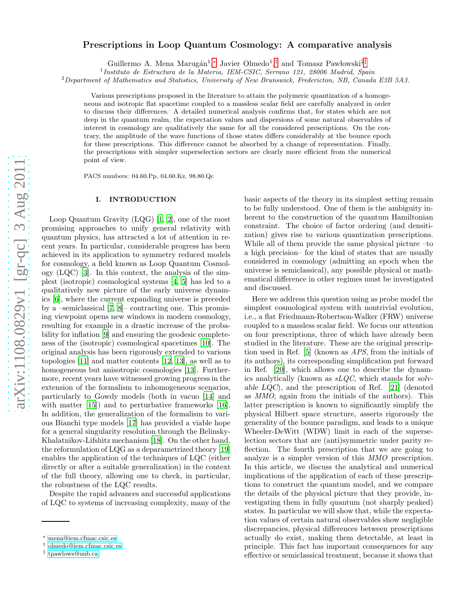# arXiv:1108.0829v1 [gr-qc] 3 Aug 2011 [arXiv:1108.0829v1 \[gr-qc\] 3 Aug 2011](http://arxiv.org/abs/1108.0829v1)

# Prescriptions in Loop Quantum Cosmology: A comparative analysis

Guillermo A. Mena Marugán<sup>1</sup>,\* Javier Olmedo<sup>1</sup>,<sup>[†](#page-0-1)</sup> and Tomasz Pawłowski<sup>2[‡](#page-0-2)</sup>

1 Instituto de Estructura de la Materia, IEM-CSIC, Serrano 121, 28006 Madrid, Spain

<sup>2</sup> Department of Mathematics and Statistics, University of New Brunswick, Fredericton, NB, Canada E3B 5A3.

Various prescriptions proposed in the literature to attain the polymeric quantization of a homogeneous and isotropic flat spacetime coupled to a massless scalar field are carefully analyzed in order to discuss their differences. A detailed numerical analysis confirms that, for states which are not deep in the quantum realm, the expectation values and dispersions of some natural observables of interest in cosmology are qualitatively the same for all the considered prescriptions. On the contrary, the amplitude of the wave functions of those states differs considerably at the bounce epoch for these prescriptions. This difference cannot be absorbed by a change of representation. Finally, the prescriptions with simpler superselection sectors are clearly more efficient from the numerical point of view.

PACS numbers: 04.60.Pp, 04.60.Kz, 98.80.Qc

## I. INTRODUCTION

Loop Quantum Gravity (LQG) [\[1](#page-16-0), [2](#page-16-1)], one of the most promising approaches to unify general relativity with quantum physics, has attracted a lot of attention in recent years. In particular, considerable progress has been achieved in its application to symmetry reduced models for cosmology, a field known as Loop Quantum Cosmology (LQC) [\[3](#page-16-2)]. In this context, the analysis of the simplest (isotropic) cosmological systems [\[4,](#page-16-3) [5\]](#page-16-4) has led to a qualitatively new picture of the early universe dynamics [\[6\]](#page-16-5), where the current expanding universe is preceded by a –semiclassical [\[7,](#page-16-6) [8\]](#page-16-7)– contracting one. This promising viewpoint opens new windows in modern cosmology, resulting for example in a drastic increase of the probability for inflation [\[9\]](#page-17-0) and ensuring the geodesic completeness of the (isotropic) cosmological spacetimes [\[10\]](#page-17-1). The original analysis has been rigorously extended to various topologies [\[11](#page-17-2)] and matter contents [\[12](#page-17-3), [13\]](#page-17-4), as well as to homogeneous but anisotropic cosmologies [\[13\]](#page-17-5). Furthermore, recent years have witnessed growing progress in the extension of the formalism to inhomogeneous scenarios, particularly to Gowdy models (both in vacuo [\[14\]](#page-17-6) and with matter [\[15](#page-17-7)]) and to perturbative frameworks [\[16\]](#page-17-8). In addition, the generalization of the formalism to various Bianchi type models [\[17\]](#page-17-9) has provided a viable hope for a general singularity resolution through the Belinsky-Khalatnikov-Lifshitz mechanism [\[18](#page-17-10)]. On the other hand, the reformulation of LQG as a deparametrized theory [\[19](#page-17-11)] enables the application of the techniques of LQC (either directly or after a suitable generalization) in the context of the full theory, allowing one to check, in particular, the robustness of the LQC results.

Despite the rapid advances and successful applications of LQC to systems of increasing complexity, many of the

basic aspects of the theory in its simplest setting remain to be fully understood. One of them is the ambiguity inherent to the construction of the quantum Hamiltonian constraint. The choice of factor ordering (and densitization) gives rise to various quantization prescriptions. While all of them provide the same physical picture –to a high precision– for the kind of states that are usually considered in cosmology (admitting an epoch when the universe is semiclassical), any possible physical or mathematical difference in other regimes must be investigated and discussed.

Here we address this question using as probe model the simplest cosmological system with nontrivial evolution, i.e., a flat Friedmann-Robertson-Walker (FRW) universe coupled to a massless scalar field. We focus our attention on four prescriptions, three of which have already been studied in the literature. These are the original prescription used in Ref. [\[5\]](#page-16-4) (known as APS, from the initials of its authors), its corresponding simplification put forward in Ref. [\[20\]](#page-17-12), which allows one to describe the dynamics analytically (known as  $sLQC$ , which stands for solvable LQC), and the prescription of Ref. [\[21\]](#page-17-13) (denoted as MMO, again from the initials of the authors). This latter prescription is known to significantly simplify the physical Hilbert space structure, asserts rigorously the generality of the bounce paradigm, and leads to a unique Wheeler-DeWitt (WDW) limit in each of the superselection sectors that are (anti)symmetric under parity reflection. The fourth prescription that we are going to analyze is a simpler version of this MMO prescription. In this article, we discuss the analytical and numerical implications of the application of each of these prescriptions to construct the quantum model, and we compare the details of the physical picture that they provide, investigating them in fully quantum (not sharply peaked) states. In particular we will show that, while the expectation values of certain natural observables show negligible discrepancies, physical differences between prescriptions actually do exist, making them detectable, at least in principle. This fact has important consequences for any effective or semiclassical treatment, because it shows that

<span id="page-0-0"></span><sup>∗</sup> [mena@iem.cfmac.csic.es](mailto:mena@iem.cfmac.csic.es)

<span id="page-0-1"></span><sup>†</sup> [olmedo@iem.cfmac.csic.es](mailto:olmedo@iem.cfmac.csic.es)

<span id="page-0-2"></span><sup>‡</sup> [tpawlows@unb.ca](mailto:tpawlows@unb.ca)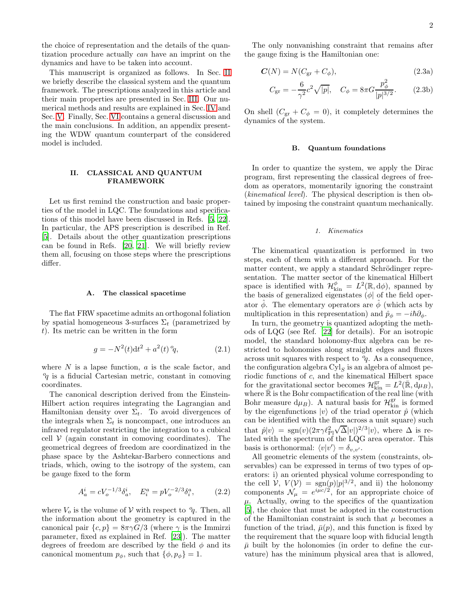the choice of representation and the details of the quantization procedure actually can have an imprint on the dynamics and have to be taken into account.

This manuscript is organized as follows. In Sec. [II](#page-1-0) we briefly describe the classical system and the quantum framework. The prescriptions analyzed in this article and their main properties are presented in Sec. [III.](#page-3-0) Our numerical methods and results are explained in Sec. [IV](#page-7-0) and Sec. [V.](#page-12-0) Finally, Sec. [VI](#page-13-0) contains a general discussion and the main conclusions. In addition, an appendix presenting the WDW quantum counterpart of the considered model is included.

# <span id="page-1-0"></span>II. CLASSICAL AND QUANTUM FRAMEWORK

Let us first remind the construction and basic properties of the model in LQC. The foundations and specifications of this model have been discussed in Refs. [\[5](#page-16-4), [22\]](#page-17-14). In particular, the APS prescription is described in Ref. [\[5\]](#page-16-4). Details about the other quantization prescriptions can be found in Refs. [\[20](#page-17-12), [21](#page-17-13)]. We will briefly review them all, focusing on those steps where the prescriptions differ.

## A. The classical spacetime

The flat FRW spacetime admits an orthogonal foliation by spatial homogeneous 3-surfaces  $\Sigma_t$  (parametrized by t). Its metric can be written in the form

$$
g = -N^2(t)dt^2 + a^2(t)^o q,
$$
 (2.1)

where  $N$  is a lapse function,  $\alpha$  is the scale factor, and  $q$  is a fiducial Cartesian metric, constant in comoving coordinates.

The canonical description derived from the Einstein-Hilbert action requires integrating the Lagrangian and Hamiltonian density over  $\Sigma_t$ . To avoid divergences of the integrals when  $\Sigma_t$  is noncompact, one introduces an infrared regulator restricting the integration to a cubical cell  $V$  (again constant in comoving coordinates). The geometrical degrees of freedom are coordinatized in the phase space by the Ashtekar-Barbero connections and triads, which, owing to the isotropy of the system, can be gauge fixed to the form

$$
A_a^i = cV_o^{-1/3} \delta_a^i, \quad E_i^a = pV_o^{-2/3} \delta_i^a, \tag{2.2}
$$

where  $V_o$  is the volume of  $V$  with respect to  $^oq$ . Then, all the information about the geometry is captured in the canonical pair  $\{c, p\} = 8\pi \gamma G/3$  (where  $\gamma$  is the Immirzi parameter, fixed as explained in Ref. [\[23](#page-17-15)]). The matter degrees of freedom are described by the field  $\phi$  and its canonical momentum  $p_{\phi}$ , such that  $\{\phi, p_{\phi}\}=1$ .

The only nonvanishing constraint that remains after the gauge fixing is the Hamiltonian one:

$$
\mathbf{C}(N) = N(C_{\text{gr}} + C_{\phi}), \tag{2.3a}
$$

<span id="page-1-2"></span><span id="page-1-1"></span>
$$
C_{\rm gr} = -\frac{6}{\gamma^2} c^2 \sqrt{|p|}, \quad C_{\phi} = 8\pi G \frac{p_{\phi}^2}{|p|^{3/2}}.
$$
 (2.3b)

On shell  $(C_{gr} + C_{\phi} = 0)$ , it completely determines the dynamics of the system.

#### <span id="page-1-3"></span>B. Quantum foundations

In order to quantize the system, we apply the Dirac program, first representing the classical degrees of freedom as operators, momentarily ignoring the constraint (kinematical level). The physical description is then obtained by imposing the constraint quantum mechanically.

#### <span id="page-1-4"></span>1. Kinematics

The kinematical quantization is performed in two steps, each of them with a different approach. For the matter content, we apply a standard Schrödinger representation. The matter sector of the kinematical Hilbert space is identified with  $\mathcal{H}_{\text{kin}}^{\phi} = L^2(\mathbb{R}, d\phi)$ , spanned by the basis of generalized eigenstates  $(\phi)$  of the field operator  $\phi$ . The elementary operators are  $\phi$  (which acts by multiplication in this representation) and  $\hat{p}_{\phi} = -i\hbar\partial_{\phi}$ .

In turn, the geometry is quantized adopting the methods of LQG (see Ref. [\[22](#page-17-14)] for details). For an isotropic model, the standard holonomy-flux algebra can be restricted to holonomies along straight edges and fluxes across unit squares with respect to  $q$ . As a consequence, the configuration algebra  $Cyl_s$  is an algebra of almost periodic functions of c, and the kinematical Hilbert space for the gravitational sector becomes  $\mathcal{H}_{\text{kin}}^{\text{gr}} = L^2(\mathbb{R}, d\mu_B)$ , where  $\mathbb R$  is the Bohr compactification of the real line (with Bohr measure  $d\mu_B$ ). A natural basis for  $\mathcal{H}_{kin}^{gr}$  is formed by the eigenfunctions  $|v\rangle$  of the triad operator  $\hat{p}$  (which can be identified with the flux across a unit square) such that  $\hat{p}|v\rangle = \text{sgn}(v)(2\pi\gamma\ell_{\text{Pl}}^2\sqrt{\Delta}|v|)^{2/3}|v\rangle$ , where  $\Delta$  is related with the spectrum of the LQG area operator. This basis is orthonormal:  $\langle v|v'\rangle = \delta_{v,v'}.$ 

All geometric elements of the system (constraints, observables) can be expressed in terms of two types of operators: i) an oriented physical volume corresponding to the cell  $V, V(V) = \frac{\text{sgn}(p)|p|^{3/2}}{p}$ , and ii) the holonomy components  $\mathcal{N}_{\mu} = e^{i\mu c/2}$ , for an appropriate choice of  $\mu$ . Actually, owing to the specifics of the quantization [\[5\]](#page-16-4), the choice that must be adopted in the construction of the Hamiltonian constraint is such that  $\mu$  becomes a function of the triad,  $\bar{\mu}(p)$ , and this function is fixed by the requirement that the square loop with fiducial length  $\bar{\mu}$  built by the holonomies (in order to define the curvature) has the minimum physical area that is allowed,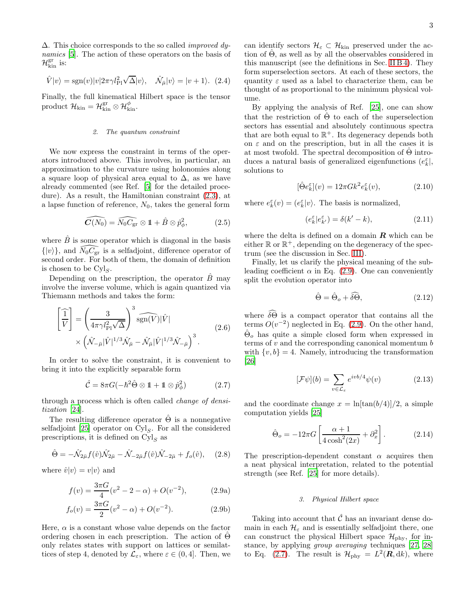$\Delta$ . This choice corresponds to the so called *improved dy*namics [\[5](#page-16-4)]. The action of these operators on the basis of  $\mathcal{H}^{\mathrm{gr}}_{\mathrm{kin}}$  is:

$$
\hat{V}|v\rangle = \text{sgn}(v)|v|2\pi\gamma l_{\text{Pl}}^2\sqrt{\Delta}|v\rangle, \quad \hat{\mathcal{N}}_{\bar{\mu}}|v\rangle = |v+1\rangle. \tag{2.4}
$$

Finally, the full kinematical Hilbert space is the tensor product  $\mathcal{H}_{\text{kin}} = \mathcal{H}_{\text{kin}}^{\text{gr}} \otimes \mathcal{H}_{\text{kin}}^{\phi}.$ 

## <span id="page-2-4"></span>2. The quantum constraint

We now express the constraint in terms of the operators introduced above. This involves, in particular, an approximation to the curvature using holonomies along a square loop of physical area equal to  $\Delta$ , as we have already commented (see Ref. [\[5](#page-16-4)] for the detailed procedure). As a result, the Hamiltonian constraint [\(2.3\)](#page-1-1), at a lapse function of reference,  $N_0$ , takes the general form

<span id="page-2-3"></span>
$$
\widehat{C(N_0)} = \widehat{N_0 C_{\rm gr}} \otimes 1 + \hat{B} \otimes \hat{p}_{\phi}^2, \qquad (2.5)
$$

where  $\hat{B}$  is some operator which is diagonal in the basis  $\{|v\rangle\}$ , and  $\overline{N}_0C_{\text{gr}}$  is a selfadjoint, difference operator of second order. For both of them, the domain of definition is chosen to be  $Cyl_s$ .

Depending on the prescription, the operator  $\hat{B}$  may involve the inverse volume, which is again quantized via Thiemann methods and takes the form:

$$
\begin{bmatrix}\n\widehat{1} \\
\widehat{V}\n\end{bmatrix} = \left(\frac{3}{4\pi\gamma l_{\rm Pl}^2 \sqrt{\Delta}}\right)^3 \widehat{\text{sgn}(V)} |\hat{V}|
$$
\n
$$
\times \left(\widehat{N}_{-\bar{\mu}} |\hat{V}|^{1/3} \widehat{N}_{\bar{\mu}} - \widehat{N}_{\bar{\mu}} |\hat{V}|^{1/3} \widehat{N}_{-\bar{\mu}}\right)^3.
$$
\n(2.6)

In order to solve the constraint, it is convenient to bring it into the explicitly separable form

<span id="page-2-1"></span>
$$
\hat{\mathcal{C}} = 8\pi G(-\hbar^2 \hat{\Theta} \otimes \mathbb{1} + \mathbb{1} \otimes \hat{p}_{\phi}^2) \tag{2.7}
$$

through a process which is often called change of densitization [\[24\]](#page-17-16).

The resulting difference operator  $\hat{\Theta}$  is a nonnegative selfadjoint  $[25]$  operator on Cyl<sub>S</sub>. For all the considered prescriptions, it is defined on  $Cyl_s$  as

<span id="page-2-6"></span>
$$
\hat{\Theta} = -\hat{\mathcal{N}}_{2\bar{\mu}} f(\hat{v}) \hat{\mathcal{N}}_{2\bar{\mu}} - \hat{\mathcal{N}}_{-2\bar{\mu}} f(\hat{v}) \hat{\mathcal{N}}_{-2\bar{\mu}} + f_o(\hat{v}), \quad (2.8)
$$

where  $\hat{v}|v\rangle = v|v\rangle$  and

<span id="page-2-0"></span>
$$
f(v) = \frac{3\pi G}{4}(v^2 - 2 - \alpha) + O(v^{-2}),
$$
 (2.9a)

$$
f_o(v) = \frac{3\pi G}{2}(v^2 - \alpha) + O(v^{-2}).
$$
 (2.9b)

Here,  $\alpha$  is a constant whose value depends on the factor ordering chosen in each prescription. The action of  $\Theta$ only relates states with support on lattices or semilattices of step 4, denoted by  $\mathcal{L}_{\varepsilon}$ , where  $\varepsilon \in (0, 4]$ . Then, we can identify sectors  $\mathcal{H}_{\varepsilon} \subset \mathcal{H}_{\text{kin}}$  preserved under the action of  $\Theta$ , as well as by all the observables considered in this manuscript (see the definitions in Sec. [II B 4\)](#page-3-1). They form superselection sectors. At each of these sectors, the quantity  $\varepsilon$  used as a label to characterize them, can be thought of as proportional to the minimum physical volume.

By applying the analysis of Ref. [\[25](#page-17-17)], one can show that the restriction of  $\hat{\Theta}$  to each of the superselection sectors has essential and absolutely continuous spectra that are both equal to  $\mathbb{R}^+$ . Its degeneracy depends both on  $\varepsilon$  and on the prescription, but in all the cases it is at most twofold. The spectral decomposition of  $\Theta$  introduces a natural basis of generalized eigenfunctions  $(e_k^{\varepsilon})$ , solutions to

<span id="page-2-2"></span>
$$
[\hat{\Theta}e_k^{\varepsilon}](v) = 12\pi Gk^2 e_k^{\varepsilon}(v),\tag{2.10}
$$

where  $e_k^{\varepsilon}(v) = (e_k^{\varepsilon}|v\rangle)$ . The basis is normalized,

<span id="page-2-8"></span>
$$
(e_k^{\varepsilon}|e_{k'}^{\varepsilon}) = \delta(k'-k), \tag{2.11}
$$

where the delta is defined on a domain  $\bm{R}$  which can be either  $\mathbb R$  or  $\mathbb R^+$ , depending on the degeneracy of the spectrum (see the discussion in Sec. [III\)](#page-3-0).

Finally, let us clarify the physical meaning of the subleading coefficient  $\alpha$  in Eq. [\(2.9\)](#page-2-0). One can conveniently split the evolution operator into

<span id="page-2-7"></span>
$$
\hat{\Theta} = \hat{\Theta}_o + \hat{\delta\Theta},\tag{2.12}
$$

where  $\widehat{\delta\Theta}$  is a compact operator that contains all the terms  $O(v^{-2})$  neglected in Eq. [\(2.9\)](#page-2-0). On the other hand,  $\hat{\Theta}_{o}$  has quite a simple closed form when expressed in terms of  $v$  and the corresponding canonical momentum  $b$ with  $\{v, b\} = 4$ . Namely, introducing the transformation [\[26\]](#page-17-18)

$$
[\mathcal{F}\psi](b) = \sum_{v \in \mathcal{L}_{\varepsilon}} e^{ivb/4} \psi(v) \tag{2.13}
$$

and the coordinate change  $x = \ln[\tan(b/4)]/2$ , a simple computation yields [\[25\]](#page-17-17)

<span id="page-2-5"></span>
$$
\hat{\Theta}_o = -12\pi G \left[ \frac{\alpha + 1}{4\cosh^2(2x)} + \partial_x^2 \right].
$$
 (2.14)

The prescription-dependent constant  $\alpha$  acquires then a neat physical interpretation, related to the potential strength (see Ref. [\[25](#page-17-17)] for more details).

# 3. Physical Hilbert space

Taking into account that  $\hat{\mathcal{C}}$  has an invariant dense domain in each  $\mathcal{H}_{\varepsilon}$  and is essentially selfadjoint there, one can construct the physical Hilbert space  $\mathcal{H}_{\text{phy}}$ , for instance, by applying group averaging techniques [\[27,](#page-17-19) [28](#page-17-20)] to Eq. [\(2.7\)](#page-2-1). The result is  $\mathcal{H}_{\text{phy}} = L^2(\mathbf{R},dk)$ , where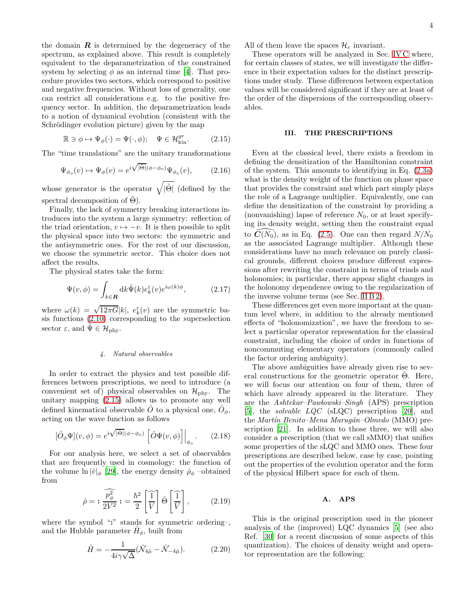the domain  $R$  is determined by the degeneracy of the spectrum, as explained above. This result is completely equivalent to the deparametrization of the constrained system by selecting  $\phi$  as an internal time [\[4\]](#page-16-3). That procedure provides two sectors, which correspond to positive and negative frequencies. Without loss of generality, one can restrict all considerations e.g. to the positive frequency sector. In addition, the deparametrization leads to a notion of dynamical evolution (consistent with the Schrödinger evolution picture) given by the map

<span id="page-3-2"></span>
$$
\mathbb{R} \ni \phi \mapsto \Psi_{\phi}(\cdot) = \Psi(\cdot, \phi); \quad \Psi \in \mathcal{H}_{\text{kin}}^{gr}.
$$
 (2.15)

The "time translations" are the unitary transformations

<span id="page-3-4"></span>
$$
\Psi_{\phi_o}(v) \mapsto \Psi_{\phi}(v) = e^{i\sqrt{|\hat{\Theta}|}(\phi - \phi_o)} \Psi_{\phi_o}(v), \quad (2.16)
$$

whose generator is the operator  $\sqrt{|\hat{\Theta}|}$  (defined by the spectral decomposition of  $\hat{\Theta}$ ).

Finally, the lack of symmetry breaking interactions introduces into the system a large symmetry: reflection of the triad orientation,  $v \mapsto -v$ . It is then possible to split the physical space into two sectors: the symmetric and the antisymmetric ones. For the rest of our discussion, we choose the symmetric sector. This choice does not affect the results.

The physical states take the form:

<span id="page-3-3"></span>
$$
\Psi(v,\phi) = \int_{k \in \mathbf{R}} \mathrm{d}k \tilde{\Psi}(k) e_k^{\varepsilon}(v) e^{i\omega(k)\phi}, \tag{2.17}
$$

where  $\omega(k) = \sqrt{12\pi G}|k|$ ,  $e_k^{\varepsilon}(v)$  are the symmetric basis functions [\(2.10\)](#page-2-2) corresponding to the superselection sector  $\varepsilon$ , and  $\tilde{\Psi} \in \mathcal{H}_{\text{phy}}$ .

#### <span id="page-3-1"></span>4. Natural observables

In order to extract the physics and test possible differences between prescriptions, we need to introduce (a convenient set of) physical observables on  $\mathcal{H}_{\text{phy}}$ . The unitary mapping [\(2.15\)](#page-3-2) allows us to promote any well defined kinematical observable  $\hat{O}$  to a physical one,  $\hat{O}_{\phi}$ , acting on the wave function as follows

$$
[\hat{O}_{\phi}\Psi](v,\phi) = e^{i\sqrt{|\hat{\Theta}|}(\phi-\phi_o)} \left[ \hat{O}\Psi(v,\phi) \right] \Big|_{\phi_o}.
$$
 (2.18)

For our analysis here, we select a set of observables that are frequently used in cosmology: the function of the volume  $\ln |\hat{v}|_{\phi}$  [\[29\]](#page-17-21), the energy density  $\hat{\rho}_{\phi}$  –obtained from

<span id="page-3-5"></span>
$$
\hat{\rho} = : \frac{\widehat{p_{\phi}^2}}{2V^2} : = \frac{\hbar^2}{2} \left[ \frac{\widehat{1}}{V} \right] \hat{\Theta} \left[ \frac{\widehat{1}}{V} \right],\tag{2.19}
$$

where the symbol ":" stands for symmetric ordering-, and the Hubble parameter  $\hat{H}_{\phi}$ , built from

<span id="page-3-6"></span>
$$
\hat{H} = -\frac{1}{4i\gamma\sqrt{\Delta}}(\hat{\mathcal{N}}_{4\bar{\mu}} - \hat{\mathcal{N}}_{-4\bar{\mu}}). \tag{2.20}
$$

All of them leave the spaces  $\mathcal{H}_{\varepsilon}$  invariant.

These operators will be analyzed in Sec. [IV C](#page-10-0) where, for certain classes of states, we will investigate the difference in their expectation values for the distinct prescriptions under study. These differences between expectation values will be considered significant if they are at least of the order of the dispersions of the corresponding observables.

## <span id="page-3-0"></span>III. THE PRESCRIPTIONS

Even at the classical level, there exists a freedom in defining the densitization of the Hamiltonian constraint of the system. This amounts to identifying in Eq. [\(2.3a\)](#page-1-2) what is the density weight of the function on phase space that provides the constraint and which part simply plays the role of a Lagrange multiplier. Equivalently, one can define the densitization of the constraint by providing a (nonvanishing) lapse of reference  $N_0$ , or at least specifying its density weight, setting then the constraint equal to  $\widehat{C}(N_0)$ , as in Eq. [\(2.5\)](#page-2-3). One can then regard  $N/N_0$ as the associated Lagrange multiplier. Although these considerations have no much relevance on purely classical grounds, different choices produce different expressions after rewriting the constraint in terms of triads and holonomies; in particular, there appear slight changes in the holonomy dependence owing to the regularization of the inverse volume terms (see Sec. [II B 2\)](#page-2-4).

These differences get even more important at the quantum level where, in addition to the already mentioned effects of "holonomization", we have the freedom to select a particular operator representation for the classical constraint, including the choice of order in functions of noncommuting elementary operators (commonly called the factor ordering ambiguity).

The above ambiguities have already given rise to several constructions for the geometric operator  $\Theta$ . Here, we will focus our attention on four of them, three of which have already appeared in the literature. They are the  $Ashtekar-Pawłowski-Singh$  (APS) prescription [\[5\]](#page-16-4), the *solvable LQC* (sLQC) prescription [\[20\]](#page-17-12), and the Martín Benito–Mena Marugán–Olmedo (MMO) prescription [\[21\]](#page-17-13). In addition to those three, we will also consider a prescription (that we call sMMO) that unifies some properties of the sLQC and MMO ones. These four prescriptions are described below, case by case, pointing out the properties of the evolution operator and the form of the physical Hilbert space for each of them.

#### A. APS

This is the original prescription used in the pioneer analysis of the (improved) LQC dynamics [\[5](#page-16-4)] (see also Ref. [\[30](#page-17-22)] for a recent discussion of some aspects of this quantization). The choices of density weight and operator representation are the following: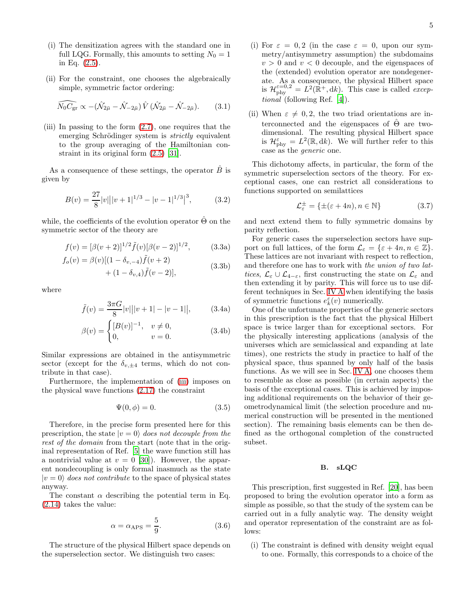- (i) The densitization agrees with the standard one in full LQG. Formally, this amounts to setting  $N_0 = 1$ in Eq. [\(2.5\)](#page-2-3).
- (ii) For the constraint, one chooses the algebraically simple, symmetric factor ordering:

$$
\widehat{N_0 C_{\rm gr}} \propto -(\hat{\mathcal{N}}_{2\bar{\mu}} - \hat{\mathcal{N}}_{-2\bar{\mu}}) \hat{V} (\hat{\mathcal{N}}_{2\bar{\mu}} - \hat{\mathcal{N}}_{-2\bar{\mu}}). \tag{3.1}
$$

<span id="page-4-0"></span>(iii) In passing to the form [\(2.7\)](#page-2-1), one requires that the emerging Schrödinger system is *strictly* equivalent to the group averaging of the Hamiltonian constraint in its original form [\(2.5\)](#page-2-3) [\[31](#page-17-23)].

As a consequence of these settings, the operator  $B$  is given by

$$
B(v) = \frac{27}{8}|v|||v+1|^{1/3} - |v-1|^{1/3}|^3,
$$
 (3.2)

while, the coefficients of the evolution operator  $\hat{\Theta}$  on the symmetric sector of the theory are

$$
f(v) = [\beta(v+2)]^{1/2} \tilde{f}(v) [\beta(v-2)]^{1/2}, \quad (3.3a)
$$

$$
f_o(v) = \beta(v)[(1 - \delta_{v, -4})\tilde{f}(v+2) + (1 - \delta_{v, 4})\tilde{f}(v-2)],
$$
\n(3.3b)

where

$$
\tilde{f}(v) = \frac{3\pi G}{8}|v|||v+1| - |v-1||, \qquad (3.4a)
$$

$$
\beta(v) = \begin{cases} [B(v)]^{-1}, & v \neq 0, \\ 0, & v = 0. \end{cases}
$$
 (3.4b)

Similar expressions are obtained in the antisymmetric sector (except for the  $\delta_{v,\pm 4}$  terms, which do not contribute in that case).

Furthermore, the implementation of [\(iii\)](#page-4-0) imposes on the physical wave functions [\(2.17\)](#page-3-3) the constraint

$$
\Psi(0,\phi) = 0.\tag{3.5}
$$

Therefore, in the precise form presented here for this prescription, the state  $|v = 0\rangle$  does not decouple from the rest of the domain from the start (note that in the original representation of Ref. [\[5](#page-16-4)] the wave function still has a nontrivial value at  $v = 0$  [\[30](#page-17-22)]). However, the apparent nondecoupling is only formal inasmuch as the state  $|v = 0\rangle$  does not contribute to the space of physical states anyway.

The constant  $\alpha$  describing the potential term in Eq. [\(2.14\)](#page-2-5) takes the value:

$$
\alpha = \alpha_{\rm APS} = \frac{5}{9}.\tag{3.6}
$$

The structure of the physical Hilbert space depends on the superselection sector. We distinguish two cases:

- (i) For  $\varepsilon = 0, 2$  (in the case  $\varepsilon = 0$ , upon our symmetry/antisymmetry assumption) the subdomains  $v > 0$  and  $v < 0$  decouple, and the eigenspaces of the (extended) evolution operator are nondegenerate. As a consequence, the physical Hilbert space is  $\mathcal{H}_{\rm phy}^{\varepsilon=0,2}=L^2(\mathbb{R}^+,dk)$ . This case is called *excep*tional (following Ref. [\[4](#page-16-3)]).
- (ii) When  $\varepsilon \neq 0, 2$ , the two triad orientations are interconnected and the eigenspaces of  $\hat{\Theta}$  are twodimensional. The resulting physical Hilbert space is  $\mathcal{H}_{\rm phy}^{\varepsilon} = L^2(\mathbb{R}, \mathrm{d}k)$ . We will further refer to this case as the generic one.

This dichotomy affects, in particular, the form of the symmetric superselection sectors of the theory. For exceptional cases, one can restrict all considerations to functions supported on semilattices

<span id="page-4-1"></span>
$$
\mathcal{L}_{\varepsilon}^{\pm} = \{ \pm (\varepsilon + 4n), n \in \mathbb{N} \}
$$
 (3.7)

and next extend them to fully symmetric domains by parity reflection.

For generic cases the superselection sectors have support on full lattices, of the form  $\mathcal{L}_{\varepsilon} = {\varepsilon + 4n, n \in \mathbb{Z}}.$ These lattices are not invariant with respect to reflection, and therefore one has to work with the union of two lattices,  $\mathcal{L}_{\varepsilon} \cup \mathcal{L}_{4-\varepsilon}$ , first constructing the state on  $\mathcal{L}_{\varepsilon}$  and then extending it by parity. This will force us to use different techniques in Sec. [IV A](#page-7-1) when identifying the basis of symmetric functions  $e_k^{\varepsilon}(v)$  numerically.

One of the unfortunate properties of the generic sectors in this prescription is the fact that the physical Hilbert space is twice larger than for exceptional sectors. For the physically interesting applications (analysis of the universes which are semiclassical and expanding at late times), one restricts the study in practice to half of the physical space, thus spanned by only half of the basis functions. As we will see in Sec. [IV A,](#page-7-1) one chooses them to resemble as close as possible (in certain aspects) the basis of the exceptional cases. This is achieved by imposing additional requirements on the behavior of their geometrodynamical limit (the selection procedure and numerical construction will be presented in the mentioned section). The remaining basis elements can be then defined as the orthogonal completion of the constructed subset.

# B. sLQC

This prescription, first suggested in Ref. [\[20](#page-17-12)], has been proposed to bring the evolution operator into a form as simple as possible, so that the study of the system can be carried out in a fully analytic way. The density weight and operator representation of the constraint are as follows:

(i) The constraint is defined with density weight equal to one. Formally, this corresponds to a choice of the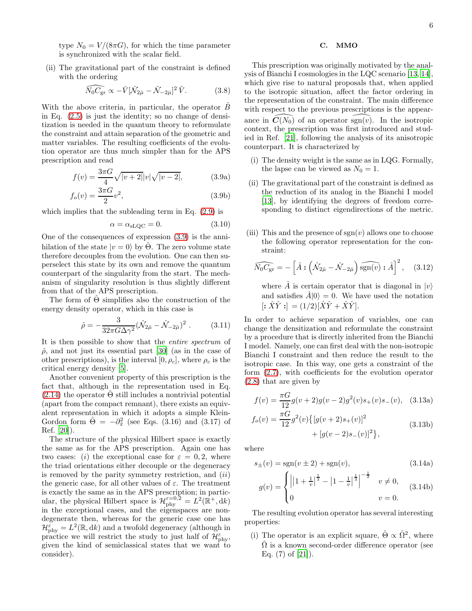type  $N_0 = V/(8\pi G)$ , for which the time parameter is synchronized with the scalar field.

(ii) The gravitational part of the constraint is defined with the ordering

$$
\widehat{N_0 C_{\rm gr}} \propto -\hat{V} [\hat{\mathcal{N}}_{2\bar{\mu}} - \hat{\mathcal{N}}_{-2\bar{\mu}}]^2 \hat{V}.
$$
 (3.8)

With the above criteria, in particular, the operator  $\hat{B}$ in Eq. [\(2.5\)](#page-2-3) is just the identity; so no change of densitization is needed in the quantum theory to reformulate the constraint and attain separation of the geometric and matter variables. The resulting coefficients of the evolution operator are thus much simpler than for the APS prescription and read

<span id="page-5-0"></span>
$$
f(v) = \frac{3\pi G}{4} \sqrt{|v+2||v|\sqrt{|v-2|}},
$$
 (3.9a)

$$
f_o(v) = \frac{3\pi G}{2}v^2,
$$
\n(3.9b)

which implies that the subleading term in Eq. [\(2.9\)](#page-2-0) is

$$
\alpha = \alpha_{\text{sLQC}} = 0. \tag{3.10}
$$

One of the consequences of expression [\(3.9\)](#page-5-0) is the annihilation of the state  $|v = 0\rangle$  by  $\hat{\Theta}$ . The zero volume state therefore decouples from the evolution. One can then superselect this state by its own and remove the quantum counterpart of the singularity from the start. The mechanism of singularity resolution is thus slightly different from that of the APS prescription.

The form of  $\Theta$  simplifies also the construction of the energy density operator, which in this case is

$$
\hat{\rho} = -\frac{3}{32\pi G \Delta \gamma^2} (\hat{\mathcal{N}}_{2\bar{\mu}} - \hat{\mathcal{N}}_{-2\bar{\mu}})^2 . \quad (3.11)
$$

It is then possible to show that the entire spectrum of  $\hat{\rho}$ , and not just its essential part [\[30](#page-17-22)] (as in the case of other prescriptions), is the interval  $[0, \rho_c]$ , where  $\rho_c$  is the critical energy density [\[5](#page-16-4)].

Another convenient property of this prescription is the fact that, although in the representation used in Eq.  $(2.14)$  the operator  $\Theta$  still includes a nontrivial potential (apart from the compact remnant), there exists an equivalent representation in which it adopts a simple Klein-Gordon form  $\hat{\Theta} = -\partial_{\bar{x}}^2$  (see Eqs. (3.16) and (3.17) of Ref. [\[20\]](#page-17-12)).

The structure of the physical Hilbert space is exactly the same as for the APS prescription. Again one has two cases: (i) the exceptional case for  $\varepsilon = 0, 2$ , where the triad orientations either decouple or the degeneracy is removed by the parity symmetry restriction, and  $(ii)$ the generic case, for all other values of  $\varepsilon$ . The treatment is exactly the same as in the APS prescription; in particular, the physical Hilbert space is  $\mathcal{H}_{\text{phy}}^{\varepsilon=0,2} = L^2(\mathbb{R}^+, \mathrm{d}k)$ in the exceptional cases, and the eigenspaces are nondegenerate then, whereas for the generic case one has  $\mathcal{H}_{\text{phy}}^{\varepsilon} = L^2(\mathbb{R},dk)$  and a twofold degeneracy (although in practice we will restrict the study to just half of  $\mathcal{H}_{\text{phy}}^{\varepsilon}$ , given the kind of semiclassical states that we want to consider).

# <span id="page-5-3"></span>C. MMO

This prescription was originally motivated by the analysis of Bianchi I cosmologies in the LQC scenario [\[13](#page-17-5), [14\]](#page-17-6), which give rise to natural proposals that, when applied to the isotropic situation, affect the factor ordering in the representation of the constraint. The main difference with respect to the previous prescriptions is the appearance in  $\mathbf{C}(N_0)$  of an operator sgn(v). In the isotropic context, the prescription was first introduced and studied in Ref. [\[21](#page-17-13)], following the analysis of its anisotropic counterpart. It is characterized by

- (i) The density weight is the same as in LQG. Formally, the lapse can be viewed as  $N_0 = 1$ .
- (ii) The gravitational part of the constraint is defined as the reduction of its analog in the Bianchi I model [\[13](#page-17-5)], by identifying the degrees of freedom corresponding to distinct eigendirections of the metric.
- (iii) This and the presence of  $sgn(v)$  allows one to choose the following operator representation for the constraint:

<span id="page-5-1"></span>
$$
\widehat{N_0 C_{\rm gr}} = -\left[\hat{A} : \left(\hat{N}_{2\bar{\mu}} - \hat{N}_{-2\bar{\mu}}\right) \widehat{\text{sgn}(v)} : \hat{A}\right]^2, \quad (3.12)
$$

where  $\hat{A}$  is certain operator that is diagonal in  $|v\rangle$ and satisfies  $\hat{A}|0\rangle = 0$ . We have used the notation  $[\colon \hat{X}\hat{Y} : ] = (1/2)[\hat{X}\hat{Y} + \hat{X}\hat{Y}].$ 

In order to achieve separation of variables, one can change the densitization and reformulate the constraint by a procedure that is directly inherited from the Bianchi I model. Namely, one can first deal with the non-isotropic Bianchi I constraint and then reduce the result to the isotropic case. In this way, one gets a constraint of the form [\(2.7\)](#page-2-1), with coefficients for the evolution operator [\(2.8\)](#page-2-6) that are given by

$$
f(v) = \frac{\pi G}{12}g(v+2)g(v-2)g^{2}(v)s_{+}(v)s_{-}(v), \quad (3.13a)
$$

$$
f_o(v) = \frac{\pi G}{12} g^2(v) \{ [g(v+2)s_+(v)]^2 + [g(v-2)s_-(v)]^2 \},
$$
\n(3.13b)

where

$$
s_{\pm}(v) = sgn(v \pm 2) + sgn(v),
$$
 (3.14a)

<span id="page-5-2"></span>
$$
g(v) = \begin{cases} \left| |1 + \frac{1}{v}|^{\frac{1}{3}} - |1 - \frac{1}{v}|^{\frac{1}{3}} \right|^{-\frac{1}{2}} & v \neq 0, \\ 0 & v = 0. \end{cases}
$$
 (3.14b)

The resulting evolution operator has several interesting properties:

(i) The operator is an explicit square,  $\hat{\Theta} \propto \hat{\Omega}^2$ , where  $\hat{\Omega}$  is a known second-order difference operator (see Eq.  $(7)$  of  $[21]$ ).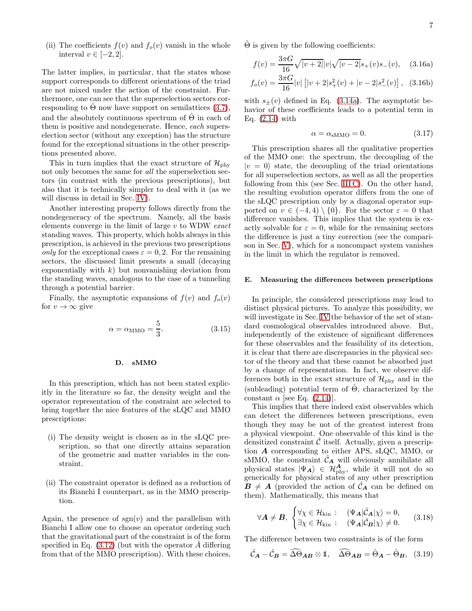(ii) The coefficients  $f(v)$  and  $f_o(v)$  vanish in the whole interval  $v \in [-2, 2]$ .

The latter implies, in particular, that the states whose support corresponds to different orientations of the triad are not mixed under the action of the constraint. Furthermore, one can see that the superselection sectors corresponding to  $\Theta$  now have support on semilattices [\(3.7\)](#page-4-1), and the absolutely continuous spectrum of  $\Theta$  in each of them is positive and nondegenerate. Hence, each superselection sector (without any exception) has the structure found for the exceptional situations in the other prescriptions presented above.

This in turn implies that the exact structure of  $\mathcal{H}_{\text{phv}}$ not only becomes the same for all the superselection sectors (in contrast with the previous prescriptions), but also that it is technically simpler to deal with it (as we will discuss in detail in Sec. [IV\)](#page-7-0).

Another interesting property follows directly from the nondegeneracy of the spectrum. Namely, all the basis elements converge in the limit of large  $v$  to WDW exact standing waves. This property, which holds always in this prescription, is achieved in the previous two prescriptions only for the exceptional cases  $\varepsilon = 0, 2$ . For the remaining sectors, the discussed limit presents a small (decaying exponentially with  $k$ ) but nonvanishing deviation from the standing waves, analogous to the case of a tunneling through a potential barrier.

Finally, the asymptotic expansions of  $f(v)$  and  $f_o(v)$ for  $v \to \infty$  give

$$
\alpha = \alpha_{\text{MMO}} = \frac{5}{3}.\tag{3.15}
$$

## <span id="page-6-2"></span>D. sMMO

In this prescription, which has not been stated explicitly in the literature so far, the density weight and the operator representation of the constraint are selected to bring together the nice features of the sLQC and MMO prescriptions:

- (i) The density weight is chosen as in the sLQC prescription, so that one directly attains separation of the geometric and matter variables in the constraint.
- (ii) The constraint operator is defined as a reduction of its Bianchi I counterpart, as in the MMO prescription.

Again, the presence of  $sgn(v)$  and the parallelism with Bianchi I allow one to choose an operator ordering such that the gravitational part of the constraint is of the form specified in Eq.  $(3.12)$  (but with the operator A differing from that of the MMO prescription). With these choices,

 $\Theta$  is given by the following coefficients:

$$
f(v) = \frac{3\pi G}{16} \sqrt{|v+2|} |v| \sqrt{|v-2|} s_+(v) s_-(v), \quad (3.16a)
$$

$$
f_o(v) = \frac{3\pi G}{16}|v| \left[ |v+2|s_+^2(v) + |v-2|s_-^2(v) \right], \quad (3.16b)
$$

with  $s_{\pm}(v)$  defined in Eq. [\(3.14a\)](#page-5-2). The asymptotic behavior of these coefficients leads to a potential term in Eq. [\(2.14\)](#page-2-5) with

$$
\alpha = \alpha_{\text{sMMO}} = 0. \tag{3.17}
$$

This prescription shares all the qualitative properties of the MMO one: the spectrum, the decoupling of the  $|v = 0\rangle$  state, the decoupling of the triad orientations for all superselection sectors, as well as all the properties following from this (see Sec. [III C\)](#page-5-3). On the other hand, the resulting evolution operator differs from the one of the sLQC prescription only by a diagonal operator supported on  $v \in (-4, 4) \setminus \{0\}$ . For the sector  $\varepsilon = 0$  that difference vanishes. This implies that the system is exactly solvable for  $\varepsilon = 0$ , while for the remaining sectors the difference is just a tiny correction (see the comparison in Sec. [V\)](#page-12-0), which for a noncompact system vanishes in the limit in which the regulator is removed.

## <span id="page-6-0"></span>E. Measuring the differences between prescriptions

In principle, the considered prescriptions may lead to distinct physical pictures. To analyze this possibility, we will investigate in Sec. [IV](#page-7-0) the behavior of the set of standard cosmological observables introduced above. But, independently of the existence of significant differences for these observables and the feasibility of its detection, it is clear that there are discrepancies in the physical sector of the theory and that these cannot be absorbed just by a change of representation. In fact, we observe differences both in the exact structure of  $\mathcal{H}_{\text{phy}}$  and in the (subleading) potential term of  $\hat{\Theta}$ , characterized by the constant  $\alpha$  [see Eq. [\(2.14\)](#page-2-5)].

This implies that there indeed exist observables which can detect the differences between prescriptions, even though they may be not of the greatest interest from a physical viewpoint. One observable of this kind is the densitized constraint  $\hat{\mathcal{C}}$  itself. Actually, given a prescription A corresponding to either APS, sLQC, MMO, or sMMO, the constraint  $\hat{\mathcal{C}}_A$  will obviously annihilate all physical states  $|\Psi_A\rangle \in \mathcal{H}_{\text{phy}}^A$ , while it will not do so generically for physical states of any other prescription  $\mathbf{B} \neq \mathbf{A}$  (provided the action of  $\mathcal{C}_{\mathbf{A}}$  can be defined on them). Mathematically, this means that

$$
\forall \mathbf{A} \neq \mathbf{B}, \begin{cases} \forall \chi \in \mathcal{H}_{\text{kin}} : & (\Psi_{\mathbf{A}} | \hat{\mathcal{C}}_{\mathbf{A}} | \chi \rangle = 0, \\ \exists \chi \in \mathcal{H}_{\text{kin}} : & (\Psi_{\mathbf{A}} | \hat{\mathcal{C}}_{\mathbf{B}} | \chi \rangle \neq 0. \end{cases} (3.18)
$$

The difference between two constraints is of the form

<span id="page-6-1"></span>
$$
\hat{\mathcal{C}}_{A} - \hat{\mathcal{C}}_{B} = \widehat{\Delta \Theta}_{AB} \otimes \mathbb{1}, \quad \widehat{\Delta \Theta}_{AB} = \hat{\Theta}_{A} - \hat{\Theta}_{B}, \quad (3.19)
$$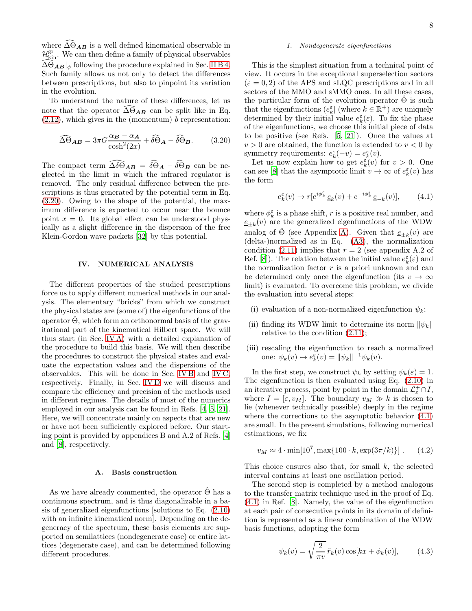where  $\Delta\Theta_{AB}$  is a well defined kinematical observable in  $\mathcal{H}^{\mathrm{gr}}_{\mathrm{kin}}.$  We can then define a family of physical observables  $\Delta\Theta_{AB}|_{\phi}$  following the procedure explained in Sec. [II B 4.](#page-3-1) Such family allows us not only to detect the differences between prescriptions, but also to pinpoint its variation in the evolution.

To understand the nature of these differences, let us note that the operator  $\Delta\Theta_{AB}$  can be split like in Eq.  $(2.12)$ , which gives in the (momentum) b representation:

<span id="page-7-2"></span>
$$
\widehat{\Delta\Theta}_{AB} = 3\pi G \frac{\alpha_B - \alpha_A}{\cosh^2(2x)} + \widehat{\delta\Theta}_A - \widehat{\delta\Theta}_B. \tag{3.20}
$$

The compact term  $\widehat{\Delta \delta \Theta}_{AB} = \widehat{\delta \Theta}_A - \widehat{\delta \Theta}_B$  can be neglected in the limit in which the infrared regulator is removed. The only residual difference between the prescriptions is thus generated by the potential term in Eq. [\(3.20\)](#page-7-2). Owing to the shape of the potential, the maximum difference is expected to occur near the bounce point  $x = 0$ . Its global effect can be understood physically as a slight difference in the dispersion of the free Klein-Gordon wave packets [\[32\]](#page-17-24) by this potential.

## <span id="page-7-0"></span>IV. NUMERICAL ANALYSIS

The different properties of the studied prescriptions force us to apply different numerical methods in our analysis. The elementary "bricks" from which we construct the physical states are (some of) the eigenfunctions of the operator  $\Theta$ , which form an orthonormal basis of the gravitational part of the kinematical Hilbert space. We will thus start (in Sec. [IV A\)](#page-7-1) with a detailed explanation of the procedure to build this basis. We will then describe the procedures to construct the physical states and evaluate the expectation values and the dispersions of the observables. This will be done in Sec. [IV B](#page-9-0) and [IV C,](#page-10-0) respectively. Finally, in Sec. [IV D](#page-10-1) we will discuss and compare the efficiency and precision of the methods used in different regimes. The details of most of the numerics employed in our analysis can be found in Refs. [\[4,](#page-16-3) [5,](#page-16-4) [21\]](#page-17-13). Here, we will concentrate mainly on aspects that are new or have not been sufficiently explored before. Our starting point is provided by appendices B and A.2 of Refs. [\[4](#page-16-3)] and [\[8](#page-16-7)], respectively.

## <span id="page-7-1"></span>A. Basis construction

As we have already commented, the operator  $\hat{\Theta}$  has a continuous spectrum, and is thus diagonalizable in a basis of generalized eigenfunctions [solutions to Eq. [\(2.10\)](#page-2-2) with an infinite kinematical norm. Depending on the degeneracy of the spectrum, these basis elements are supported on semilattices (nondegenerate case) or entire lattices (degenerate case), and can be determined following different procedures.

## <span id="page-7-6"></span>1. Nondegenerate eigenfunctions

This is the simplest situation from a technical point of view. It occurs in the exceptional superselection sectors  $(\varepsilon = 0, 2)$  of the APS and sLQC prescriptions and in all sectors of the MMO and sMMO ones. In all these cases, the particular form of the evolution operator  $\Theta$  is such that the eigenfunctions  $(e_k^{\varepsilon})$  (where  $k \in \mathbb{R}^+$ ) are uniquely determined by their initial value  $e_k^{\varepsilon}(\varepsilon)$ . To fix the phase of the eigenfunctions, we choose this initial piece of data to be positive (see Refs. [\[5](#page-16-4), [21\]](#page-17-13)). Once the values at  $v > 0$  are obtained, the function is extended to  $v < 0$  by symmetry requirements:  $e_k^{\varepsilon}(-v) = e_k^{\varepsilon}(v)$ .

Let us now explain how to get  $e_k^{\varepsilon}(v)$  for  $v > 0$ . One can see [\[8\]](#page-16-7) that the asymptotic limit  $v \to \infty$  of  $e_k^{\varepsilon}(v)$  has the form

<span id="page-7-3"></span>
$$
e_k^{\varepsilon}(v)\rightarrow r[e^{i\phi_k^{\varepsilon}}\underline{e}_k(v)+e^{-i\phi_k^{\varepsilon}}\underline{e}_{-k}(v)],\qquad(4.1)
$$

where  $\phi_k^{\varepsilon}$  is a phase shift, r is a positive real number, and  $\underline{e}_{\pm k}(v)$  are the generalized eigenfunctions of the WDW analog of  $\hat{\Theta}$  (see Appendix [A\)](#page-16-8). Given that  $\underline{e}_{\pm k}(v)$  are (delta-)normalized as in Eq. [\(A3\)](#page-16-9), the normalization condition [\(2.11\)](#page-2-8) implies that  $r = 2$  (see appendix A.2 of Ref. [\[8](#page-16-7)]). The relation between the initial value  $e_k^{\varepsilon}(\varepsilon)$  and the normalization factor  $r$  is a priori unknown and can be determined only once the eigenfunction (its  $v \to \infty$ limit) is evaluated. To overcome this problem, we divide the evaluation into several steps:

- (i) evaluation of a non-normalized eigenfunction  $\psi_k$ ;
- (ii) finding its WDW limit to determine its norm  $\|\psi_k\|$ relative to the condition [\(2.11\)](#page-2-8);
- (iii) rescaling the eigenfunction to reach a normalized one:  $\psi_k(v) \mapsto e_k^{\varepsilon}(v) = ||\psi_k||^{-1} \psi_k(v).$

In the first step, we construct  $\psi_k$  by setting  $\psi_k(\varepsilon) = 1$ . The eigenfunction is then evaluated using Eq. [\(2.10\)](#page-2-2) in an iterative process, point by point in the domain  $\mathcal{L}_{\varepsilon}^{+} \cap I$ , where  $I = [\varepsilon, v_M]$ . The boundary  $v_M \gg k$  is chosen to lie (whenever technically possible) deeply in the regime where the corrections to the asymptotic behavior [\(4.1\)](#page-7-3) are small. In the present simulations, following numerical estimations, we fix

<span id="page-7-5"></span>
$$
v_M \approx 4 \cdot \min[10^7, \max\{100 \cdot k, \exp(3\pi/k)\}].
$$
 (4.2)

This choice ensures also that, for small  $k$ , the selected interval contains at least one oscillation period.

The second step is completed by a method analogous to the transfer matrix technique used in the proof of Eq. [\(4.1\)](#page-7-3) in Ref. [\[8](#page-16-7)]. Namely, the value of the eigenfunction at each pair of consecutive points in its domain of definition is represented as a linear combination of the WDW basis functions, adopting the form

<span id="page-7-4"></span>
$$
\psi_k(v) = \sqrt{\frac{2}{\pi v}} \tilde{r}_k(v) \cos[kx + \phi_k(v)], \qquad (4.3)
$$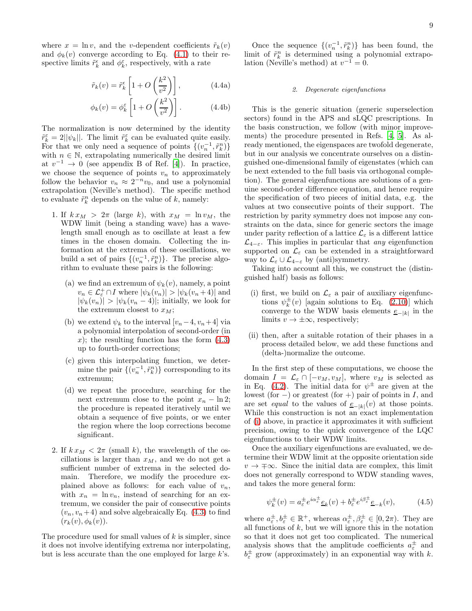where  $x = \ln v$ , and the v-dependent coefficients  $\tilde{r}_k(v)$ and  $\phi_k(v)$  converge according to Eq. [\(4.1\)](#page-7-3) to their respective limits  $\tilde{r}_k^{\epsilon}$  and  $\phi_k^{\varepsilon}$ , respectively, with a rate

$$
\tilde{r}_k(v) = \tilde{r}_k^{\epsilon} \left[ 1 + O\left(\frac{k^2}{v^2}\right) \right],\tag{4.4a}
$$

$$
\phi_k(v) = \phi_k^{\varepsilon} \left[ 1 + O\left(\frac{k^2}{v^2}\right) \right]. \tag{4.4b}
$$

The normalization is now determined by the identity  $\tilde{r}_k^{\varepsilon} = 2||\psi_k||$ . The limit  $\tilde{r}_k^{\varepsilon}$  can be evaluated quite easily. For that we only need a sequence of points  $\{(v_n^{-1}, \tilde{r}_k^n)\}$ with  $n \in \mathbb{N}$ , extrapolating numerically the desired limit at  $v^{-1} \to 0$  (see appendix B of Ref. [\[4](#page-16-3)]). In practice, we choose the sequence of points  $v_n$  to approximately follow the behavior  $v_n \approx 2^{-n}v_0$ , and use a polynomial extrapolation (Neville's method). The specific method to evaluate  $\tilde{r}_k^n$  depends on the value of k, namely:

- 1. If  $k x_M > 2\pi$  (large k), with  $x_M = \ln v_M$ , the WDW limit (being a standing wave) has a wavelength small enough as to oscillate at least a few times in the chosen domain. Collecting the information at the extrema of these oscillations, we build a set of pairs  $\{(v_n^{-1}, \tilde{r}_k^n)\}\.$  The precise algorithm to evaluate these pairs is the following:
	- (a) we find an extremum of  $\psi_k(v)$ , namely, a point  $v_n \in \mathcal{L}_{\varepsilon}^+ \cap I$  where  $|\psi_k(v_n)| > |\psi_k(v_n + 4)|$  and  $|\psi_k(v_n)| > |\psi_k(v_n-4)|$ ; initially, we look for the extremum closest to  $x_M$ ;
	- (b) we extend  $\psi_k$  to the interval  $[v_n-4, v_n+4]$  via a polynomial interpolation of second-order (in x); the resulting function has the form  $(4.3)$ up to fourth-order corrections;
	- (c) given this interpolating function, we determine the pair  $\{(v_n^{-1}, \tilde{r}_k^n)\}$  corresponding to its extremum;
	- (d) we repeat the procedure, searching for the next extremum close to the point  $x_n - \ln 2$ ; the procedure is repeated iteratively until we obtain a sequence of five points, or we enter the region where the loop corrections become significant.
- 2. If  $k x_M < 2\pi$  (small k), the wavelength of the oscillations is larger than  $x_M$ , and we do not get a sufficient number of extrema in the selected domain. Therefore, we modify the procedure explained above as follows: for each value of  $v_n$ , with  $x_n = \ln v_n$ , instead of searching for an extremum, we consider the pair of consecutive points  $(v_n, v_n + 4)$  and solve algebraically Eq.  $(4.3)$  to find  $(r_k(v), \phi_k(v)).$

The procedure used for small values of  $k$  is simpler, since it does not involve identifying extrema nor interpolating, but is less accurate than the one employed for large  $k$ 's.

Once the sequence  $\{(v_n^{-1}, \tilde{r}_k^n)\}\)$  has been found, the limit of  $\tilde{r}_k^n$  is determined using a polynomial extrapolation (Neville's method) at  $v^{-1} = 0$ .

## <span id="page-8-2"></span>2. Degenerate eigenfunctions

<span id="page-8-1"></span>This is the generic situation (generic superselection sectors) found in the APS and sLQC prescriptions. In the basis construction, we follow (with minor improvements) the procedure presented in Refs. [\[4](#page-16-3), [5\]](#page-16-4). As already mentioned, the eigenspaces are twofold degenerate, but in our analysis we concentrate ourselves on a distinguished one-dimensional family of eigenstates (which can be next extended to the full basis via orthogonal completion). The general eigenfunctions are solutions of a genuine second-order difference equation, and hence require the specification of two pieces of initial data, e.g. the values at two consecutive points of their support. The restriction by parity symmetry does not impose any constraints on the data, since for generic sectors the image under parity reflection of a lattice  $\mathcal{L}_{\varepsilon}$  is a different lattice  $\mathcal{L}_{4-\varepsilon}$ . This implies in particular that any eigenfunction supported on  $\mathcal{L}_{\varepsilon}$  can be extended in a straightforward way to  $\mathcal{L}_{\varepsilon} \cup \mathcal{L}_{4-\varepsilon}$  by (anti)symmetry.

Taking into account all this, we construct the (distinguished half) basis as follows:

- <span id="page-8-0"></span>(i) first, we build on  $\mathcal{L}_{\varepsilon}$  a pair of auxiliary eigenfunctions  $\psi_k^{\pm}(v)$  [again solutions to Eq. [\(2.10\)](#page-2-2)] which converge to the WDW basis elements  $\underline{e}_{-|k|}$  in the limits  $v \to \pm \infty$ , respectively;
- (ii) then, after a suitable rotation of their phases in a process detailed below, we add these functions and (delta-)normalize the outcome.

In the first step of these computations, we choose the domain  $I = \mathcal{L}_{\varepsilon} \cap [-v_M, v_M]$ , where  $v_M$  is selected as in Eq. [\(4.2\)](#page-7-5). The initial data for  $\psi^{\pm}$  are given at the lowest (for  $-$ ) or greatest (for  $+$ ) pair of points in I, and are set *equal* to the values of  $\underline{e}_{-|k|}(v)$  at those points. While this construction is not an exact implementation of [\(i\)](#page-8-0) above, in practice it approximates it with sufficient precision, owing to the quick convergence of the LQC eigenfunctions to their WDW limits.

Once the auxiliary eigenfunctions are evaluated, we determine their WDW limit at the opposite orientation side  $v \to \pm \infty$ . Since the initial data are complex, this limit does not generally correspond to WDW standing waves, and takes the more general form:

$$
\psi_k^{\pm}(v) = a_{\varepsilon}^{\pm} e^{i\alpha_{\varepsilon}^{\pm}} \underline{e}_k(v) + b_{\varepsilon}^{\pm} e^{i\beta_{\varepsilon}^{\pm}} \underline{e}_{-k}(v), \tag{4.5}
$$

where  $a_{\varepsilon}^{\pm}, b_{\varepsilon}^{\pm} \in \mathbb{R}^+$ , whereas  $\alpha_{\varepsilon}^{\pm}, \beta_{\varepsilon}^{\pm} \in [0, 2\pi)$ . They are all functions of  $k$ , but we will ignore this in the notation so that it does not get too complicated. The numerical analysis shows that the amplitude coefficients  $a_{\varepsilon}^{\pm}$  and  $b_{\varepsilon}^{\pm}$  grow (approximately) in an exponential way with k.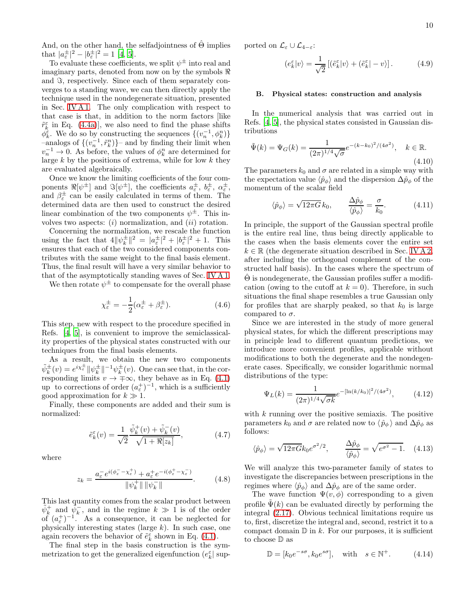And, on the other hand, the selfadjointness of  $\hat{\Theta}$  implies that  $|a_{\varepsilon}^{\pm}|^2 - |b_{\varepsilon}^{\pm}|^2 = 1$  [\[4](#page-16-3), [5](#page-16-4)].

To evaluate these coefficients, we split  $\psi^{\pm}$  into real and imaginary parts, denoted from now on by the symbols  $\Re$ and  $\Im$ , respectively. Since each of them separately converges to a standing wave, we can then directly apply the technique used in the nondegenerate situation, presented in Sec. [IV A 1.](#page-7-6) The only complication with respect to that case is that, in addition to the norm factors [like  $\tilde{r}_k^{\varepsilon}$  in Eq. [\(4.4a\)](#page-8-1)], we also need to find the phase shifts  $\phi_k^{\varepsilon}$ . We do so by constructing the sequences  $\{(v_n^{-1}, \phi_k^n)\}$  $-\text{analogs of }\{(v_n^{-1}, \tilde{r}_k^n)\}\text{ and by finding their limit when }$  $v_n^{-1} \to 0$ . As before, the values of  $\phi_k^n$  are determined for large  $k$  by the positions of extrema, while for low  $k$  they are evaluated algebraically.

Once we know the limiting coefficients of the four components  $\Re[\psi^{\pm}]$  and  $\Im[\psi^{\pm}]$ , the coefficients  $a_{\varepsilon}^{\pm}$ ,  $b_{\varepsilon}^{\pm}$ ,  $\alpha_{\varepsilon}^{\pm}$ , and  $\beta_{\varepsilon}^{\pm}$  can be easily calculated in terms of them. The determined data are then used to construct the desired linear combination of the two components  $\psi^{\pm}$ . This involves two aspects:  $(i)$  normalization, and  $(ii)$  rotation.

Concerning the normalization, we rescale the function using the fact that  $4||\psi_{k}^{\pm}||^{2} = |a_{\epsilon}^{\pm}|^{2} + |b_{\epsilon}^{\pm}|^{2} + 1$ . This ensures that each of the two considered components contributes with the same weight to the final basis element. Thus, the final result will have a very similar behavior to that of the asymptotically standing waves of Sec. [IV A 1.](#page-7-6)

We then rotate  $\psi^{\pm}$  to compensate for the overall phase

<span id="page-9-1"></span>
$$
\chi_{\varepsilon}^{\pm} = -\frac{1}{2} (\alpha_{\varepsilon}^{\pm} + \beta_{\varepsilon}^{\pm}). \tag{4.6}
$$

This step, new with respect to the procedure specified in Refs. [\[4,](#page-16-3) [5\]](#page-16-4), is convenient to improve the semiclassicality properties of the physical states constructed with our techniques from the final basis elements.

As a result, we obtain the new two components  $\tilde{\psi}_k^{\pm}(v) = e^{i\chi_{\varepsilon}^{\pm}} ||\psi_k^{\pm}||^{-1} \psi_k^{\pm}(v)$ . One can see that, in the corresponding limits  $v \to \pm \infty$ , they behave as in Eq. [\(4.1\)](#page-7-3) up to corrections of order  $(a_{\varepsilon}^{+})^{-1}$ , which is a sufficiently good approximation for  $k \gg 1$ .

Finally, these components are added and their sum is normalized:

$$
\tilde{e}_k^{\varepsilon}(v) = \frac{1}{\sqrt{2}} \frac{\tilde{\psi}_k^+(v) + \tilde{\psi}_k^-(v)}{\sqrt{1 + \Re[z_k]}},\tag{4.7}
$$

where

$$
z_k = \frac{a_\varepsilon^- e^{i(\phi_\varepsilon^- - \chi_\varepsilon^+)} + a_\varepsilon^+ e^{-i(\phi_\varepsilon^+ - \chi_\varepsilon^-)}}{\|\psi_k^+\| \|\psi_k^-\|}.
$$
 (4.8)

This last quantity comes from the scalar product between  $\tilde{\psi}_k^+$  and  $\tilde{\psi}_k^-$ , and in the regime  $k \gg 1$  is of the order of  $(a_{\varepsilon}^+)^{-1}$ . As a consequence, it can be neglected for physically interesting states (large  $k$ ). In such case, one again recovers the behavior of  $\tilde{e}_k^{\varepsilon}$  shown in Eq. [\(4.1\)](#page-7-3).

The final step in the basis construction is the symmetrization to get the generalized eigenfunction  $(e_k^\varepsilon|$  supported on  $\mathcal{L}_{\varepsilon} \cup \mathcal{L}_{4-\varepsilon}$ :

$$
\langle e_k^{\varepsilon} | v \rangle = \frac{1}{\sqrt{2}} \left[ \langle \tilde{e}_k^{\varepsilon} | v \rangle + \langle \tilde{e}_k^{\varepsilon} | - v \rangle \right]. \tag{4.9}
$$

# <span id="page-9-0"></span>B. Physical states: construction and analysis

In the numerical analysis that was carried out in Refs. [\[4](#page-16-3), [5\]](#page-16-4), the physical states consisted in Gaussian distributions

<span id="page-9-2"></span>
$$
\tilde{\Psi}(k) = \Psi_G(k) = \frac{1}{(2\pi)^{1/4}\sqrt{\sigma}} e^{-(k-k_0)^2/(4\sigma^2)}, \quad k \in \mathbb{R}.
$$
\n(4.10)

The parameters  $k_0$  and  $\sigma$  are related in a simple way with the expectation value  $\langle \hat{p}_{\phi} \rangle$  and the dispersion  $\Delta \hat{p}_{\phi}$  of the momentum of the scalar field

$$
\langle \hat{p}_{\phi} \rangle = \sqrt{12\pi G} \, k_0, \qquad \frac{\Delta \hat{p}_{\phi}}{\langle \hat{p}_{\phi} \rangle} = \frac{\sigma}{k_0}.
$$
 (4.11)

In principle, the support of the Gaussian spectral profile is the entire real line, thus being directly applicable to the cases when the basis elements cover the entire set  $k \in \mathbb{R}$  (the degenerate situation described in Sec. [IV A 2,](#page-8-2) after including the orthogonal complement of the constructed half basis). In the cases where the spectrum of  $\Theta$  is nondegenerate, the Gaussian profiles suffer a modification (owing to the cutoff at  $k = 0$ ). Therefore, in such situations the final shape resembles a true Gaussian only for profiles that are sharply peaked, so that  $k_0$  is large compared to  $\sigma$ .

Since we are interested in the study of more general physical states, for which the different prescriptions may in principle lead to different quantum predictions, we introduce more convenient profiles, applicable without modifications to both the degenerate and the nondegenerate cases. Specifically, we consider logarithmic normal distributions of the type:

$$
\Psi_L(k) = \frac{1}{(2\pi)^{1/4}\sqrt{\sigma k}} e^{-\left[\ln(k/k_0)\right]^2/(4\sigma^2)},\tag{4.12}
$$

with  $k$  running over the positive semiaxis. The positive parameters  $k_0$  and  $\sigma$  are related now to  $\langle \hat{p}_{\phi} \rangle$  and  $\Delta \hat{p}_{\phi}$  as follows:

$$
\langle \hat{p}_{\phi} \rangle = \sqrt{12\pi G} k_0 e^{\sigma^2/2}, \qquad \frac{\Delta \hat{p}_{\phi}}{\langle \hat{p}_{\phi} \rangle} = \sqrt{e^{\sigma^2} - 1}. \tag{4.13}
$$

We will analyze this two-parameter family of states to investigate the discrepancies between prescriptions in the regimes where  $\langle \hat{p}_{\phi} \rangle$  and  $\Delta \hat{p}_{\phi}$  are of the same order.

The wave function  $\Psi(v, \phi)$  corresponding to a given profile  $\Psi(k)$  can be evaluated directly by performing the integral [\(2.17\)](#page-3-3). Obvious technical limitations require us to, first, discretize the integral and, second, restrict it to a compact domain  $D$  in  $k$ . For our purposes, it is sufficient to choose D as

$$
\mathbb{D} = [k_0 e^{-s\sigma}, k_0 e^{s\sigma}], \quad \text{with} \quad s \in \mathbb{N}^+.
$$
 (4.14)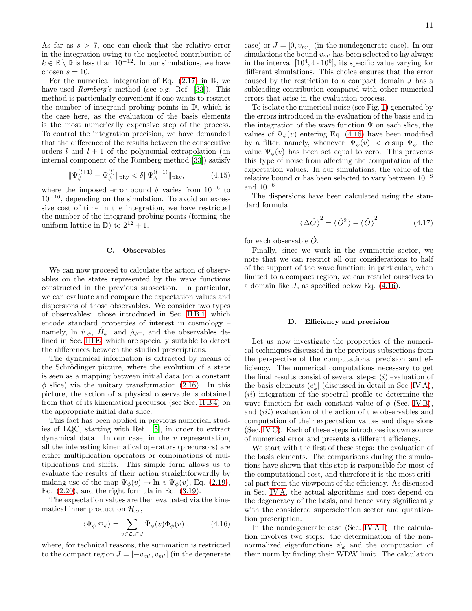As far as  $s > 7$ , one can check that the relative error in the integration owing to the neglected contribution of  $k \in \mathbb{R} \setminus \mathbb{D}$  is less than  $10^{-12}$ . In our simulations, we have chosen  $s = 10$ .

For the numerical integration of Eq.  $(2.17)$  in D, we have used *Romberg's* method (see e.g. Ref. [\[33](#page-17-25)]). This method is particularly convenient if one wants to restrict the number of integrand probing points in D, which is the case here, as the evaluation of the basis elements is the most numerically expensive step of the process. To control the integration precision, we have demanded that the difference of the results between the consecutive orders  $l$  and  $l + 1$  of the polynomial extrapolation (an internal component of the Romberg method [\[33\]](#page-17-25)) satisfy

$$
\|\Psi_{\phi}^{(l+1)} - \Psi_{\phi}^{(l)}\|_{\text{phy}} < \delta \|\Psi_{\phi}^{(l+1)}\|_{\text{phy}},\tag{4.15}
$$

where the imposed error bound  $\delta$  varies from  $10^{-6}$  to  $10^{-10}$ , depending on the simulation. To avoid an excessive cost of time in the integration, we have restricted the number of the integrand probing points (forming the uniform lattice in  $\mathbb{D}$ ) to  $2^{12} + 1$ .

## <span id="page-10-0"></span>C. Observables

We can now proceed to calculate the action of observables on the states represented by the wave functions constructed in the previous subsection. In particular, we can evaluate and compare the expectation values and dispersions of those observables. We consider two types of observables: those introduced in Sec. [II B 4,](#page-3-1) which encode standard properties of interest in cosmology – namely,  $\ln |\hat{v}|_{\phi}$ ,  $\hat{H}_{\phi}$ , and  $\hat{\rho}_{\phi}$ , and the observables defined in Sec. [III E,](#page-6-0) which are specially suitable to detect the differences between the studied prescriptions.

The dynamical information is extracted by means of the Schrödinger picture, where the evolution of a state is seen as a mapping between initial data (on a constant  $\phi$  slice) via the unitary transformation [\(2.16\)](#page-3-4). In this picture, the action of a physical observable is obtained from that of its kinematical precursor (see Sec. [II B 4\)](#page-3-1) on the appropriate initial data slice.

This fact has been applied in previous numerical studies of LQC, starting with Ref. [\[5](#page-16-4)], in order to extract dynamical data. In our case, in the v representation, all the interesting kinematical operators (precursors) are either multiplication operators or combinations of multiplications and shifts. This simple form allows us to evaluate the results of their action straightforwardly by making use of the map  $\Psi_{\phi}(v) \mapsto \ln |v| \Psi_{\phi}(v)$ , Eq. [\(2.19\)](#page-3-5), Eq.  $(2.20)$ , and the right formula in Eq.  $(3.19)$ .

The expectation values are then evaluated via the kinematical inner product on  $\mathcal{H}_{gr}$ ,

<span id="page-10-2"></span>
$$
\langle \Psi_{\phi} | \Phi_{\phi} \rangle = \sum_{v \in \mathcal{L}_{\epsilon} \cap J} \bar{\Psi}_{\phi}(v) \Phi_{\phi}(v) , \qquad (4.16)
$$

where, for technical reasons, the summation is restricted to the compact region  $J = [-v_{m'}, v_{m'}]$  (in the degenerate 11

case) or  $J = [0, v_{m'}]$  (in the nondegenerate case). In our simulations the bound  $v_{m'}$  has been selected to lay always in the interval  $[10^4, 4 \cdot 10^6]$ , its specific value varying for different simulations. This choice ensures that the error caused by the restriction to a compact domain J has a subleading contribution compared with other numerical errors that arise in the evaluation process.

To isolate the numerical noise (see Fig. [1\)](#page-11-0) generated by the errors introduced in the evaluation of the basis and in the integration of the wave function  $\Psi$  on each slice, the values of  $\Psi_{\phi}(v)$  entering Eq. [\(4.16\)](#page-10-2) have been modified by a filter, namely, whenever  $|\Psi_{\phi}(v)| < \alpha \sup |\Psi_{\phi}|$  the value  $\Psi_{\phi}(v)$  has been set equal to zero. This prevents this type of noise from affecting the computation of the expectation values. In our simulations, the value of the relative bound  $\alpha$  has been selected to vary between  $10^{-8}$ and 10−<sup>6</sup> .

The dispersions have been calculated using the standard formula

$$
\langle \Delta \hat{O} \rangle^2 = \langle \hat{O}^2 \rangle - \langle \hat{O} \rangle^2 \tag{4.17}
$$

for each observable  $\hat{O}$ .

Finally, since we work in the symmetric sector, we note that we can restrict all our considerations to half of the support of the wave function; in particular, when limited to a compact region, we can restrict ourselves to a domain like  $J$ , as specified below Eq.  $(4.16)$ .

## <span id="page-10-1"></span>D. Efficiency and precision

Let us now investigate the properties of the numerical techniques discussed in the previous subsections from the perspective of the computational precision and efficiency. The numerical computations necessary to get the final results consist of several steps:  $(i)$  evaluation of the basis elements  $(e_k^{\varepsilon})$  (discussed in detail in Sec. [IV A\)](#page-7-1), (ii) integration of the spectral profile to determine the wave function for each constant value of  $\phi$  (Sec. [IV B\)](#page-9-0), and *(iii)* evaluation of the action of the observables and computation of their expectation values and dispersions (Sec. [IV C\)](#page-10-0). Each of these steps introduces its own source of numerical error and presents a different efficiency.

We start with the first of these steps: the evaluation of the basis elements. The comparisons during the simulations have shown that this step is responsible for most of the computational cost, and therefore it is the most critical part from the viewpoint of the efficiency. As discussed in Sec. [IV A,](#page-7-1) the actual algorithms and cost depend on the degeneracy of the basis, and hence vary significantly with the considered superselection sector and quantization prescription.

In the nondegenerate case (Sec. [IV A 1\)](#page-7-6), the calculation involves two steps: the determination of the nonnormalized eigenfunctions  $\psi_k$  and the computation of their norm by finding their WDW limit. The calculation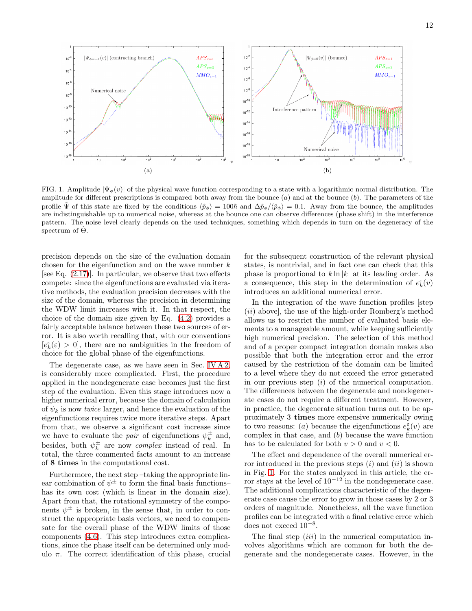<span id="page-11-1"></span>

<span id="page-11-0"></span>FIG. 1. Amplitude  $|\Psi_{\phi}(v)|$  of the physical wave function corresponding to a state with a logarithmic normal distribution. The amplitude for different prescriptions is compared both away from the bounce  $(a)$  and at the bounce  $(b)$ . The parameters of the profile  $\Psi$  of this state are fixed by the conditions  $\langle \hat{p}_{\phi} \rangle = 100\hbar$  and  $\Delta \hat{p}_{\phi}/\langle \hat{p}_{\phi} \rangle = 0.1$ . Away from the bounce, the amplitudes are indistinguishable up to numerical noise, whereas at the bounce one can observe differences (phase shift) in the interference pattern. The noise level clearly depends on the used techniques, something which depends in turn on the degeneracy of the spectrum of  $\hat{\Theta}$ .

precision depends on the size of the evaluation domain chosen for the eigenfunction and on the wave number  $k$ [see Eq.  $(2.17)$ ]. In particular, we observe that two effects compete: since the eigenfunctions are evaluated via iterative methods, the evaluation precision decreases with the size of the domain, whereas the precision in determining the WDW limit increases with it. In that respect, the choice of the domain size given by Eq. [\(4.2\)](#page-7-5) provides a fairly acceptable balance between these two sources of error. It is also worth recalling that, with our conventions  $[e_{k}^{\varepsilon}(\varepsilon) > 0]$ , there are no ambiguities in the freedom of choice for the global phase of the eigenfunctions.

The degenerate case, as we have seen in Sec. [IV A 2,](#page-8-2) is considerably more complicated. First, the procedure applied in the nondegenerate case becomes just the first step of the evaluation. Even this stage introduces now a higher numerical error, because the domain of calculation of  $\psi_k$  is now *twice* larger, and hence the evaluation of the eigenfunctions requires twice more iterative steps. Apart from that, we observe a significant cost increase since we have to evaluate the *pair* of eigenfunctions  $\psi_k^{\pm}$  and, besides, both  $\psi_k^{\pm}$  are now *complex* instead of real. In total, the three commented facts amount to an increase of 8 times in the computational cost.

Furthermore, the next step –taking the appropriate linear combination of  $\psi^{\pm}$  to form the final basis functionshas its own cost (which is linear in the domain size). Apart from that, the rotational symmetry of the components  $\psi^{\pm}$  is broken, in the sense that, in order to construct the appropriate basis vectors, we need to compensate for the overall phase of the WDW limits of those components [\(4.6\)](#page-9-1). This step introduces extra complications, since the phase itself can be determined only modulo  $\pi$ . The correct identification of this phase, crucial

<span id="page-11-2"></span>for the subsequent construction of the relevant physical states, is nontrivial, and in fact one can check that this phase is proportional to  $k \ln |k|$  at its leading order. As a consequence, this step in the determination of  $e_k^{\varepsilon}(v)$ introduces an additional numerical error.

In the integration of the wave function profiles [step  $(ii)$  above, the use of the high-order Romberg's method allows us to restrict the number of evaluated basis elements to a manageable amount, while keeping sufficiently high numerical precision. The selection of this method and of a proper compact integration domain makes also possible that both the integration error and the error caused by the restriction of the domain can be limited to a level where they do not exceed the error generated in our previous step  $(i)$  of the numerical computation. The differences between the degenerate and nondegenerate cases do not require a different treatment. However, in practice, the degenerate situation turns out to be approximately 3 times more expensive numerically owing to two reasons: (*a*) because the eigenfunctions  $e_k^{\varepsilon}(v)$  are complex in that case, and  $(b)$  because the wave function has to be calculated for both  $v > 0$  and  $v < 0$ .

The effect and dependence of the overall numerical error introduced in the previous steps  $(i)$  and  $(ii)$  is shown in Fig. [1.](#page-11-0) For the states analyzed in this article, the error stays at the level of  $10^{-12}$  in the nondegenerate case. The additional complications characteristic of the degenerate case cause the error to grow in those cases by 2 or 3 orders of magnitude. Nonetheless, all the wave function profiles can be integrated with a final relative error which does not exceed 10<sup>−</sup><sup>8</sup> .

The final step  $(iii)$  in the numerical computation involves algorithms which are common for both the degenerate and the nondegenerate cases. However, in the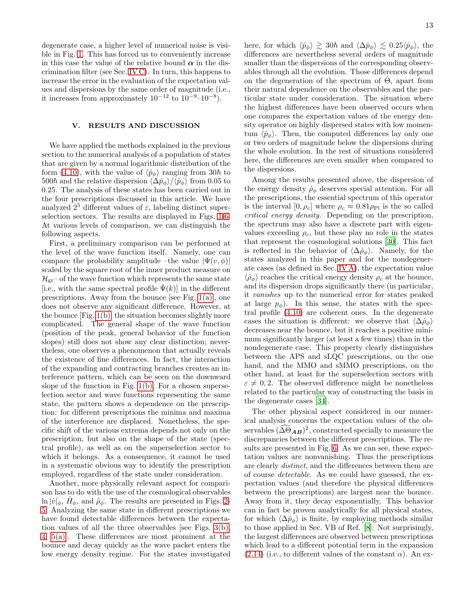degenerate case, a higher level of numerical noise is visible in Fig. [1.](#page-11-0) This has forced us to conveniently increase in this case the value of the relative bound  $\alpha$  in the discrimination filter (see Sec. [IV C\)](#page-10-0). In turn, this happens to increase the error in the evaluation of the expectation values and dispersions by the same order of magnitude (i.e., it increases from approximately  $10^{-12}$  to  $10^{-9}$ – $10^{-8}$ ).

## <span id="page-12-0"></span>V. RESULTS AND DISCUSSION

We have applied the methods explained in the previous section to the numerical analysis of a population of states that are given by a normal logarithmic distribution of the form [\(4.10\)](#page-9-2), with the value of  $\langle \hat{p}_{\phi} \rangle$  ranging from 30 $\hbar$  to 500 $\hbar$  and the relative dispersion  $\langle \Delta \hat{p}_{\phi} \rangle / \langle \hat{p}_{\phi} \rangle$  from 0.05 to 0.25. The analysis of these states has been carried out in the four prescriptions discussed in this article. We have analyzed  $2^5$  different values of  $\varepsilon$ , labeling distinct superselection sectors. The results are displayed in Figs. [1](#page-11-0)[-6.](#page-15-0) At various levels of comparison, we can distinguish the following aspects.

First, a preliminary comparison can be performed at the level of the wave function itself. Namely, one can compare the probability amplitude –the value  $|\Psi(v, \phi)|$ scaled by the square root of the inner product measure on  $\mathcal{H}_{gr}$  of the wave function which represents the same state [i.e., with the same spectral profile  $\tilde{\Psi}(k)$ ] in the different prescriptions. Away from the bounce [see Fig. [1\(a\)\]](#page-11-1), one does not observe any significant difference. However, at the bounce [Fig. [1\(b\)\]](#page-11-2) the situation becomes slightly more complicated. The general shape of the wave function (position of the peak, general behavior of the function slopes) still does not show any clear distinction; nevertheless, one observes a phenomenon that actually reveals the existence of fine differences. In fact, the interaction of the expanding and contracting branches creates an interference pattern, which can be seen on the downward slope of the function in Fig. [1\(b\).](#page-11-2) For a chosen superselection sector and wave functions representing the same state, the pattern shows a dependence on the prescription: for different prescriptions the minima and maxima of the interference are displaced. Nonetheless, the specific shift of the various extrema depends not only on the prescription, but also on the shape of the state (spectral profile), as well as on the superselection sector to which it belongs. As a consequence, it cannot be used in a systematic obvious way to identify the prescription employed, regardless of the state under consideration.

Another, more physically relevant aspect for comparison has to do with the use of the cosmological observables  $\ln |\hat{v}|_{\phi}$ ,  $\hat{H}_{\phi}$ , and  $\hat{\rho}_{\phi}$ . The results are presented in Figs. [2-](#page-13-1) [5.](#page-14-0) Analyzing the same state in different prescriptions we have found detectable differences between the expectation values of all the three observables [see Figs. [3\(b\),](#page-13-2) [4,](#page-14-1) [5\(a\)\]](#page-14-2). These differences are most prominent at the bounce and decay quickly as the wave packet enters the low energy density regime. For the states investigated here, for which  $\langle \hat{p}_{\phi} \rangle \gtrsim 30\hbar$  and  $\langle \Delta \hat{p}_{\phi} \rangle \lesssim 0.25 \langle \hat{p}_{\phi} \rangle$ , the differences are nevertheless several orders of magnitude smaller than the dispersions of the corresponding observables through all the evolution. Those differences depend on the degeneration of the spectrum of  $\Theta$ , apart from their natural dependence on the observables and the particular state under consideration. The situation where the highest differences have been observed occurs when one compares the expectation values of the energy density operator on highly dispersed states with low momentum  $\langle \hat{p}_{\phi} \rangle$ . Then, the computed differences lay only one or two orders of magnitude below the dispersions during the whole evolution. In the rest of situations considered here, the differences are even smaller when compared to the dispersions.

Among the results presented above, the dispersion of the energy density  $\rho_{\phi}$  deserves special attention. For all the prescriptions, the essential spectrum of this operator is the interval  $[0, \rho_c]$  where  $\rho_c \approx 0.81 \rho_{\rm Pl}$  is the so called critical energy density. Depending on the prescription, the spectrum may also have a discrete part with eigenvalues exceeding  $\rho_c$ , but these play no role in the states that represent the cosmological solutions [\[30](#page-17-22)]. This fact is reflected in the behavior of  $\langle \Delta \hat{\rho}_{\phi} \rangle$ . Namely, for the states analyzed in this paper and for the nondegenerate cases (as defined in Sec. [IV A\)](#page-7-1), the expectation value  $\langle \hat{\rho}_{\phi} \rangle$  reaches the critical energy density  $\rho_c$  at the bounce, and its dispersion drops significantly there (in particular, it vanishes up to the numerical error for states peaked at large  $p_{\phi}$ ). In this sense, the states with the spectral profile [\(4.10\)](#page-9-2) are coherent ones. In the degenerate cases the situation is different: we observe that  $\langle \Delta \hat{\rho}_\phi \rangle$ decreases near the bounce, but it reaches a positive minimum significantly larger (at least a few times) than in the nondegenerate case. This property clearly distinguishes between the APS and sLQC prescriptions, on the one hand, and the MMO and sMMO prescriptions, on the other hand, at least for the superselection sectors with  $\varepsilon \neq 0, 2$ . The observed difference might be nonetheless related to the particular way of constructing the basis in the degenerate cases [\[34\]](#page-17-26).

The other physical aspect considered in our numerical analysis concerns the expectation values of the observables  $(\widehat{\Delta} \widehat{\Theta}_{AB})^2$ , constructed specially to measure the discrepancies between the different prescriptions. The results are presented in Fig. [6.](#page-15-0) As we can see, these expectation values are nonvanishing. Thus the prescriptions are clearly distinct, and the differences between them are of course detectable. As we could have guessed, the expectation values (and therefore the physical differences between the prescriptions) are largest near the bounce. Away from it, they decay exponentially. This behavior can in fact be proven analytically for all physical states, for which  $\langle \Delta \hat{p}_{\phi} \rangle$  is finite, by employing methods similar to those applied in Sec. VB of Ref. [\[8\]](#page-16-7). Not surprisingly, the largest differences are observed between prescriptions which lead to a different potential term in the expansion  $(2.14)$  (i.e., to different values of the constant  $\alpha$ ). An ex-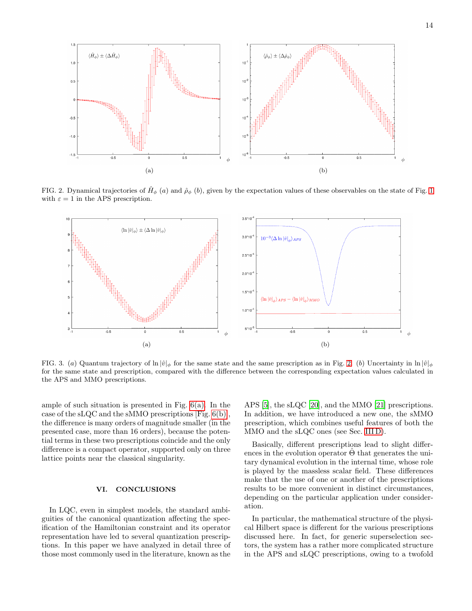

FIG. 2. Dynamical trajectories of  $H_{\phi}(a)$  and  $\hat{\rho}_{\phi}(b)$ , given by the expectation values of these observables on the state of Fig. [1](#page-11-0) with  $\varepsilon = 1$  in the APS prescription.

<span id="page-13-1"></span>

FIG. 3. (a) Quantum trajectory of ln  $|\hat{v}|_{\phi}$  for the same state and the same prescription as in Fig. [2.](#page-13-1) (b) Uncertainty in ln  $|\hat{v}|_{\phi}$ for the same state and prescription, compared with the difference between the corresponding expectation values calculated in the APS and MMO prescriptions.

ample of such situation is presented in Fig. [6\(a\).](#page-15-1) In the case of the sLQC and the sMMO prescriptions [Fig. [6\(b\)\]](#page-15-2), the difference is many orders of magnitude smaller (in the presented case, more than 16 orders), because the potential terms in these two prescriptions coincide and the only difference is a compact operator, supported only on three lattice points near the classical singularity.

# <span id="page-13-0"></span>VI. CONCLUSIONS

In LQC, even in simplest models, the standard ambiguities of the canonical quantization affecting the specification of the Hamiltonian constraint and its operator representation have led to several quantization prescriptions. In this paper we have analyzed in detail three of those most commonly used in the literature, known as the

<span id="page-13-2"></span>APS [\[5](#page-16-4)], the sLQC [\[20\]](#page-17-12), and the MMO [\[21](#page-17-13)] prescriptions. In addition, we have introduced a new one, the sMMO prescription, which combines useful features of both the MMO and the sLQC ones (see Sec. [III D\)](#page-6-2).

Basically, different prescriptions lead to slight differences in the evolution operator  $\Theta$  that generates the unitary dynamical evolution in the internal time, whose role is played by the massless scalar field. These differences make that the use of one or another of the prescriptions results to be more convenient in distinct circumstances, depending on the particular application under consideration.

In particular, the mathematical structure of the physical Hilbert space is different for the various prescriptions discussed here. In fact, for generic superselection sectors, the system has a rather more complicated structure in the APS and sLQC prescriptions, owing to a twofold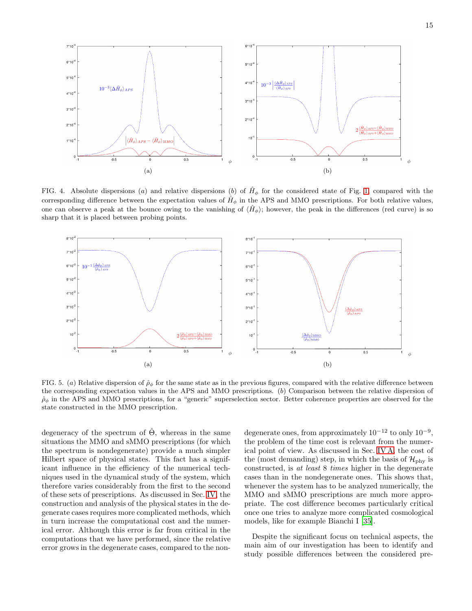

<span id="page-14-1"></span>FIG. 4. Absolute dispersions (a) and relative dispersions (b) of  $\hat{H}_{\phi}$  for the considered state of Fig. [1,](#page-11-0) compared with the corresponding difference between the expectation values of  $\hat{H}_{\phi}$  in the APS and MMO prescriptions. For both relative values, one can observe a peak at the bounce owing to the vanishing of  $\langle \hat{H}_{\phi} \rangle$ ; however, the peak in the differences (red curve) is so sharp that it is placed between probing points.

<span id="page-14-2"></span>

<span id="page-14-0"></span>FIG. 5. (a) Relative dispersion of  $\hat{\rho}_{\phi}$  for the same state as in the previous figures, compared with the relative difference between the corresponding expectation values in the APS and MMO prescriptions. (b) Comparison between the relative dispersion of  $\hat{\rho}_{\phi}$  in the APS and MMO prescriptions, for a "generic" superselection sector. Better coherence properties are observed for the state constructed in the MMO prescription.

degeneracy of the spectrum of  $\hat{\Theta}$ , whereas in the same situations the MMO and sMMO prescriptions (for which the spectrum is nondegenerate) provide a much simpler Hilbert space of physical states. This fact has a significant influence in the efficiency of the numerical techniques used in the dynamical study of the system, which therefore varies considerably from the first to the second of these sets of prescriptions. As discussed in Sec. [IV,](#page-7-0) the construction and analysis of the physical states in the degenerate cases requires more complicated methods, which in turn increase the computational cost and the numerical error. Although this error is far from critical in the computations that we have performed, since the relative error grows in the degenerate cases, compared to the non-

degenerate ones, from approximately  $10^{-12}$  to only  $10^{-9}$ , the problem of the time cost is relevant from the numerical point of view. As discussed in Sec. [IV A,](#page-7-1) the cost of the (most demanding) step, in which the basis of  $\mathcal{H}_{\text{phy}}$  is constructed, is at least 8 times higher in the degenerate cases than in the nondegenerate ones. This shows that, whenever the system has to be analyzed numerically, the MMO and sMMO prescriptions are much more appropriate. The cost difference becomes particularly critical once one tries to analyze more complicated cosmological models, like for example Bianchi I [\[35\]](#page-17-27).

Despite the significant focus on technical aspects, the main aim of our investigation has been to identify and study possible differences between the considered pre-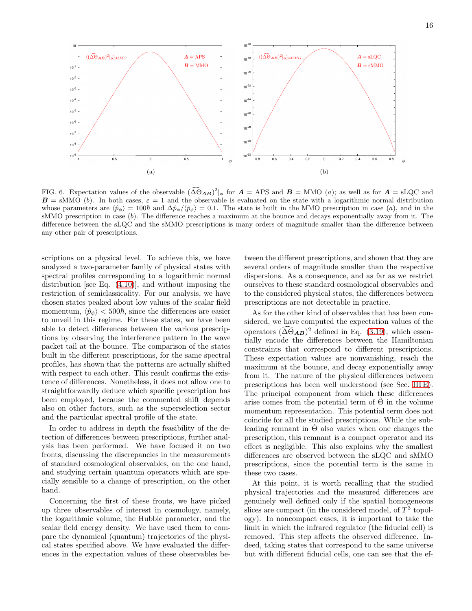<span id="page-15-1"></span>

<span id="page-15-0"></span>FIG. 6. Expectation values of the observable  $(\widehat{\Delta\Theta}_{AB})^2|_{\phi}$  for  $\mathbf{A} = \text{APS}$  and  $\mathbf{B} = \text{MMO}(a)$ ; as well as for  $\mathbf{A} = \text{sLQC}$  and  $\mathbf{B} = \text{sMMO}$  (b). In both cases,  $\varepsilon = 1$  and the observable is evaluated on the state with a logarithmic normal distribution whose parameters are  $\langle \hat{p}_{\phi} \rangle = 100\hbar$  and  $\Delta \hat{p}_{\phi}/\langle \hat{p}_{\phi} \rangle = 0.1$ . The state is built in the MMO prescription in case (a), and in the sMMO prescription in case (b). The difference reaches a maximum at the bounce and decays exponentially away from it. The difference between the sLQC and the sMMO prescriptions is many orders of magnitude smaller than the difference between any other pair of prescriptions.

scriptions on a physical level. To achieve this, we have analyzed a two-parameter family of physical states with spectral profiles corresponding to a logarithmic normal distribution [see Eq. [\(4.10\)](#page-9-2)], and without imposing the restriction of semiclassicality. For our analysis, we have chosen states peaked about low values of the scalar field momentum,  $\langle \hat{p}_{\phi} \rangle < 500\hbar$ , since the differences are easier to unveil in this regime. For these states, we have been able to detect differences between the various prescriptions by observing the interference pattern in the wave packet tail at the bounce. The comparison of the states built in the different prescriptions, for the same spectral profiles, has shown that the patterns are actually shifted with respect to each other. This result confirms the existence of differences. Nonetheless, it does not allow one to straightforwardly deduce which specific prescription has been employed, because the commented shift depends also on other factors, such as the superselection sector and the particular spectral profile of the state.

In order to address in depth the feasibility of the detection of differences between prescriptions, further analysis has been performed. We have focused it on two fronts, discussing the discrepancies in the measurements of standard cosmological observables, on the one hand, and studying certain quantum operators which are specially sensible to a change of prescription, on the other hand.

Concerning the first of these fronts, we have picked up three observables of interest in cosmology, namely, the logarithmic volume, the Hubble parameter, and the scalar field energy density. We have used them to compare the dynamical (quantum) trajectories of the physical states specified above. We have evaluated the differences in the expectation values of these observables be-

<span id="page-15-2"></span>tween the different prescriptions, and shown that they are several orders of magnitude smaller than the respective dispersions. As a consequence, and as far as we restrict ourselves to these standard cosmological observables and to the considered physical states, the differences between prescriptions are not detectable in practice.

As for the other kind of observables that has been considered, we have computed the expectation values of the operators  $(\Delta \Theta_{AB})^2$  defined in Eq. [\(3.19\)](#page-6-1), which essentially encode the differences between the Hamiltonian constraints that correspond to different prescriptions. These expectation values are nonvanishing, reach the maximum at the bounce, and decay exponentially away from it. The nature of the physical differences between prescriptions has been well understood (see Sec. [III E\)](#page-6-0). The principal component from which these differences arise comes from the potential term of  $\Theta$  in the volume momentum representation. This potential term does not coincide for all the studied prescriptions. While the subleading remnant in  $\hat{\Theta}$  also varies when one changes the prescription, this remnant is a compact operator and its effect is negligible. This also explains why the smallest differences are observed between the sLQC and sMMO prescriptions, since the potential term is the same in these two cases.

At this point, it is worth recalling that the studied physical trajectories and the measured differences are genuinely well defined only if the spatial homogeneous slices are compact (in the considered model, of  $T^3$  topology). In noncompact cases, it is important to take the limit in which the infrared regulator (the fiducial cell) is removed. This step affects the observed difference. Indeed, taking states that correspond to the same universe but with different fiducial cells, one can see that the ef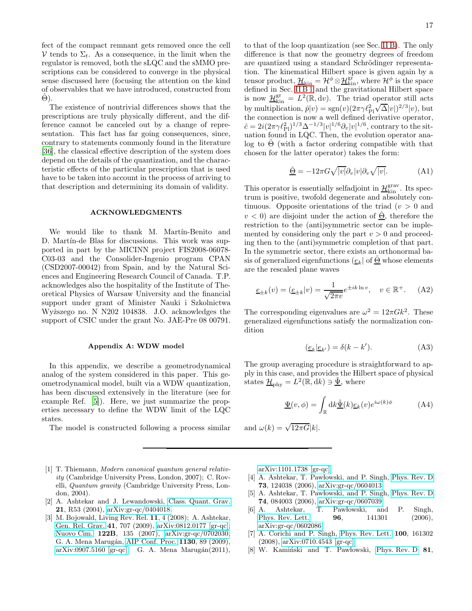fect of the compact remnant gets removed once the cell V tends to  $\Sigma_t$ . As a consequence, in the limit when the regulator is removed, both the sLQC and the sMMO prescriptions can be considered to converge in the physical sense discussed here (focusing the attention on the kind of observables that we have introduced, constructed from  $\Theta$ ).

The existence of nontrivial differences shows that the prescriptions are truly physically different, and the difference cannot be canceled out by a change of representation. This fact has far going consequences, since, contrary to statements commonly found in the literature [\[36\]](#page-17-28), the classical effective description of the system does depend on the details of the quantization, and the characteristic effects of the particular prescription that is used have to be taken into account in the process of arriving to that description and determining its domain of validity.

## ACKNOWLEDGMENTS

We would like to thank M. Martín-Benito and D. Martín-de Blas for discussions. This work was supported in part by the MICINN project FIS2008-06078- C03-03 and the Consolider-Ingenio program CPAN (CSD2007-00042) from Spain, and by the Natural Sciences and Engineering Research Council of Canada. T.P. acknowledges also the hospitality of the Institute of Theoretical Physics of Warsaw University and the financial support under grant of Minister Nauki i Szkolnictwa Wy˙zszego no. N N202 104838. J.O. acknowledges the support of CSIC under the grant No. JAE-Pre 08 00791.

#### <span id="page-16-8"></span>Appendix A: WDW model

In this appendix, we describe a geometrodynamical analog of the system considered in this paper. This geometrodynamical model, built via a WDW quantization, has been discussed extensively in the literature (see for example Ref. [\[5\]](#page-16-4)). Here, we just summarize the properties necessary to define the WDW limit of the LQC states.

The model is constructed following a process similar

to that of the loop quantization (see Sec. [II B\)](#page-1-3). The only difference is that now the geometry degrees of freedom are quantized using a standard Schrödinger representation. The kinematical Hilbert space is given again by a tensor product,  $\underline{\mathcal{H}}_{kin} = \mathcal{H}^{\phi} \otimes \underline{\mathcal{H}}_{kin}^{g\tilde{r}}$ , where  $\mathcal{H}^{\phi}$  is the space defined in Sec. [II B 1](#page-1-4) and the gravitational Hilbert space is now  $\underline{\mathcal{H}}_{\rm kin}^{\rm gr} = L^2(\mathbb{R},{\rm d}v)$ . The triad operator still acts by multiplication,  $\hat{p}|v\rangle = \text{sgn}(v)(2\pi \gamma \ell_{\text{Pl}}^2 \sqrt{\Delta}|v|)^{2/3}|v\rangle$ , but the connection is now a well defined derivative operator,  $\hat{c} = 2i(2\pi\gamma\ell_{\rm Pl}^2)^{1/3}\Delta^{-1/3}|v|^{1/6}\partial_v|v|^{1/6}$ , contrary to the situation found in LQC. Then, the evolution operator analog to  $\Theta$  (with a factor ordering compatible with that chosen for the latter operator) takes the form:

$$
\hat{\underline{\Theta}} = -12\pi G \sqrt{|v|} \partial_v |v| \partial_v \sqrt{|v|}. \tag{A1}
$$

This operator is essentially selfadjoint in  $\underline{\mathcal{H}}^{\rm grav}_{\rm kin}$  . Its spectrum is positive, twofold degenerate and absolutely continuous. Opposite orientations of the triad  $(v > 0$  and  $v < 0$ ) are disjoint under the action of  $\hat{\Theta}$ , therefore the restriction to the (anti)symmetric sector can be implemented by considering only the part  $v > 0$  and proceeding then to the (anti)symmetric completion of that part. In the symmetric sector, there exists an orthonormal basis of generalized eigenfunctions  $(\underline{e}_k)$  of  $\hat{\underline{\Theta}}$  whose elements are the rescaled plane waves

$$
\underline{e}_{\pm k}(v) = (\underline{e}_{\pm k}|v) = \frac{1}{\sqrt{2\pi v}} e^{\pm ik \ln v}, \quad v \in \mathbb{R}^+.
$$
 (A2)

The corresponding eigenvalues are  $\omega^2 = 12\pi G k^2$ . These generalized eigenfunctions satisfy the normalization condition

<span id="page-16-9"></span>
$$
(\underline{e}_k | \underline{e}_{k'}) = \delta(k - k'). \tag{A3}
$$

The group averaging procedure is straightforward to apply in this case, and provides the Hilbert space of physical states  $\underline{\mathcal{H}}_{\text{phy}} = L^2(\mathbb{R}, dk) \ni \underline{\tilde{\Psi}}$ , where

$$
\underline{\Psi}(v,\phi) = \int_{\mathbb{R}} \mathrm{d}k \underline{\tilde{\Psi}}(k) \underline{e}_k(v) e^{i\omega(k)\phi} \tag{A4}
$$

and  $\omega(k) = \sqrt{12\pi G}|k|$ .

- <span id="page-16-0"></span>[1] T. Thiemann, Modern canonical quantum general relativity (Cambridge University Press, London, 2007); C. Rovelli, Quantum gravity (Cambridge University Press, London, 2004).
- <span id="page-16-1"></span>[2] A. Ashtekar and J. Lewandowski, [Class. Quant. Grav.](http://dx.doi.org/10.1088/0264-9381/21/15/R01) 21, R53 (2004), [arXiv:gr-qc/0404018.](http://arxiv.org/abs/gr-qc/0404018)
- <span id="page-16-2"></span>[3] M. Bojowald, Living Rev. Rel. 11, 4 (2008); A. Ashtekar, [Gen. Rel. Grav.](http://dx.doi.org/10.1007/s10714-009-0763-4) 41, 707 (2009), [arXiv:0812.0177 \[gr-qc\];](http://arxiv.org/abs/0812.0177) [Nuovo Cim.](http://dx.doi.org/10.1393/ncb/i2007-10351-5) 122B, 135 (2007), [arXiv:gr-qc/0702030;](http://arxiv.org/abs/gr-qc/0702030) G. A. Mena Marugán, [AIP Conf. Proc.](http://dx.doi.org/10.1063/1.3146242) 1130, 89 (2009),  $arXiv:0907.5160$  [gr-qc]; G. A. Mena Marugán(2011),

[arXiv:1101.1738 \[gr-qc\].](http://arxiv.org/abs/1101.1738)

- <span id="page-16-3"></span>[4] A. Ashtekar, T. Pawłowski, and P. Singh, [Phys. Rev. D](http://dx.doi.org/10.1103/PhysRevD.73.124038) 73, 124038 (2006), [arXiv:gr-qc/0604013.](http://arxiv.org/abs/gr-qc/0604013)
- <span id="page-16-4"></span>[5] A. Ashtekar, T. Pawłowski, and P. Singh, [Phys. Rev. D](http://dx.doi.org/10.1103/PhysRevD.74.084003) 74, 084003 (2006), [arXiv:gr-qc/0607039.](http://arxiv.org/abs/gr-qc/0607039)
- <span id="page-16-5"></span>[6] A. Ashtekar, T. Pawłowski, and P. Singh,<br>Phys. Rev. Lett. **96.** 141301 (2006). [Phys. Rev. Lett.](http://dx.doi.org/10.1103/PhysRevLett.96.141301) **96**, 141301 (2006), [arXiv:gr-qc/0602086.](http://arxiv.org/abs/gr-qc/0602086)
- <span id="page-16-6"></span>[7] A. Corichi and P. Singh, [Phys. Rev. Lett.](http://dx.doi.org/10.1103/PhysRevLett.100.161302) 100, 161302 (2008), [arXiv:0710.4543 \[gr-qc\].](http://arxiv.org/abs/0710.4543)
- <span id="page-16-7"></span>[8] W. Kamiński and T. Pawłowski, [Phys. Rev. D](http://dx.doi.org/10.1103/PhysRevD.81.084027) 81,